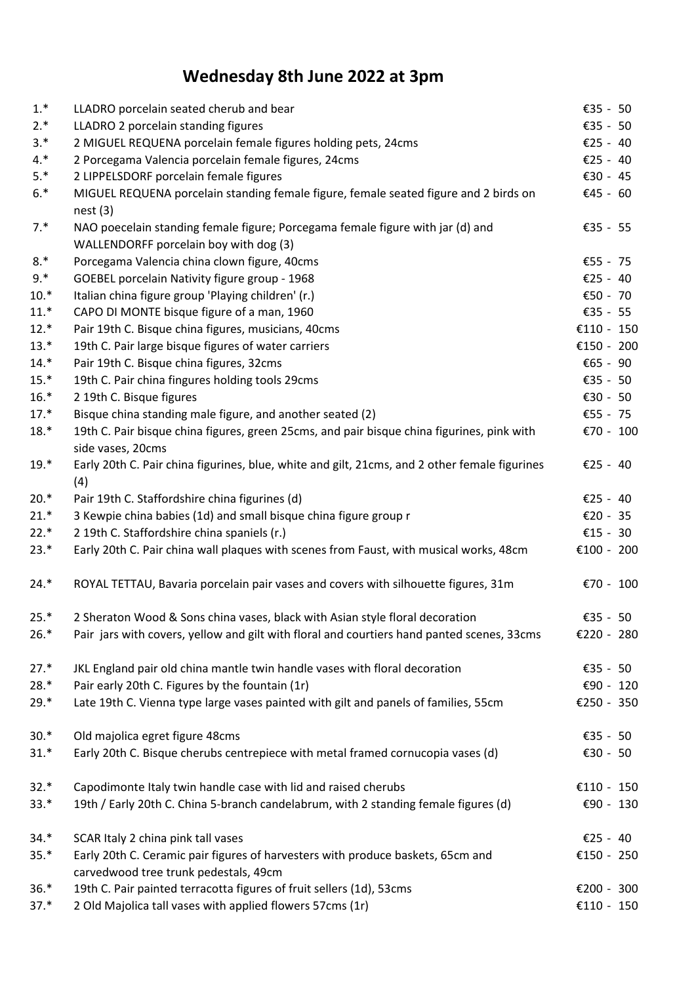## **Wednesday 8th June 2022 at 3pm**

| $1.*$  | LLADRO porcelain seated cherub and bear                                                                                  | €35 - 50   |
|--------|--------------------------------------------------------------------------------------------------------------------------|------------|
| $2.*$  | LLADRO 2 porcelain standing figures                                                                                      | €35 - 50   |
| $3.*$  | 2 MIGUEL REQUENA porcelain female figures holding pets, 24cms                                                            | €25 - 40   |
| $4.*$  | 2 Porcegama Valencia porcelain female figures, 24cms                                                                     | €25 - 40   |
| $5.*$  | 2 LIPPELSDORF porcelain female figures                                                                                   | €30 - 45   |
| $6.*$  | MIGUEL REQUENA porcelain standing female figure, female seated figure and 2 birds on                                     | €45 - 60   |
|        | nest(3)                                                                                                                  |            |
| $7.*$  | NAO poecelain standing female figure; Porcegama female figure with jar (d) and                                           | €35 - 55   |
|        | WALLENDORFF porcelain boy with dog (3)                                                                                   |            |
| $8.*$  | Porcegama Valencia china clown figure, 40cms                                                                             | €55 - 75   |
| $9.*$  | GOEBEL porcelain Nativity figure group - 1968                                                                            | €25 - 40   |
| $10.*$ | Italian china figure group 'Playing children' (r.)                                                                       | €50 - 70   |
| $11.*$ | CAPO DI MONTE bisque figure of a man, 1960                                                                               | €35 - 55   |
| $12.*$ | Pair 19th C. Bisque china figures, musicians, 40cms                                                                      | €110 - 150 |
| $13.*$ | 19th C. Pair large bisque figures of water carriers                                                                      | €150 - 200 |
| $14.*$ | Pair 19th C. Bisque china figures, 32cms                                                                                 | €65 - 90   |
| $15.*$ | 19th C. Pair china fingures holding tools 29cms                                                                          | €35 - 50   |
| $16.*$ | 2 19th C. Bisque figures                                                                                                 | €30 - 50   |
| $17.*$ | Bisque china standing male figure, and another seated (2)                                                                | €55 - 75   |
| $18.*$ | 19th C. Pair bisque china figures, green 25cms, and pair bisque china figurines, pink with<br>side vases, 20cms          | €70 - 100  |
| $19.*$ | Early 20th C. Pair china figurines, blue, white and gilt, 21cms, and 2 other female figurines<br>(4)                     | €25 - 40   |
| $20.*$ | Pair 19th C. Staffordshire china figurines (d)                                                                           | €25 - 40   |
| $21.*$ | 3 Kewpie china babies (1d) and small bisque china figure group r                                                         | €20 - 35   |
| $22.*$ | 2 19th C. Staffordshire china spaniels (r.)                                                                              | €15 - 30   |
| $23.*$ | Early 20th C. Pair china wall plaques with scenes from Faust, with musical works, 48cm                                   | €100 - 200 |
| $24.*$ | ROYAL TETTAU, Bavaria porcelain pair vases and covers with silhouette figures, 31m                                       | €70 - 100  |
| $25.*$ | 2 Sheraton Wood & Sons china vases, black with Asian style floral decoration                                             | €35 - 50   |
| $26.*$ | Pair jars with covers, yellow and gilt with floral and courtiers hand panted scenes, 33cms                               | €220 - 280 |
| $27.*$ | JKL England pair old china mantle twin handle vases with floral decoration                                               | €35 - 50   |
| $28.*$ | Pair early 20th C. Figures by the fountain (1r)                                                                          | €90 - 120  |
| $29.*$ | Late 19th C. Vienna type large vases painted with gilt and panels of families, 55cm                                      | €250 - 350 |
| $30.*$ | Old majolica egret figure 48cms                                                                                          | €35 - 50   |
| $31.*$ | Early 20th C. Bisque cherubs centrepiece with metal framed cornucopia vases (d)                                          | €30 - 50   |
| $32.*$ | Capodimonte Italy twin handle case with lid and raised cherubs                                                           | €110 - 150 |
| $33.*$ | 19th / Early 20th C. China 5-branch candelabrum, with 2 standing female figures (d)                                      | €90 - 130  |
| $34.*$ | SCAR Italy 2 china pink tall vases                                                                                       | €25 - 40   |
| $35.*$ | Early 20th C. Ceramic pair figures of harvesters with produce baskets, 65cm and<br>carvedwood tree trunk pedestals, 49cm | €150 - 250 |
| $36.*$ | 19th C. Pair painted terracotta figures of fruit sellers (1d), 53cms                                                     | €200 - 300 |
| $37.*$ | 2 Old Majolica tall vases with applied flowers 57cms (1r)                                                                | €110 - 150 |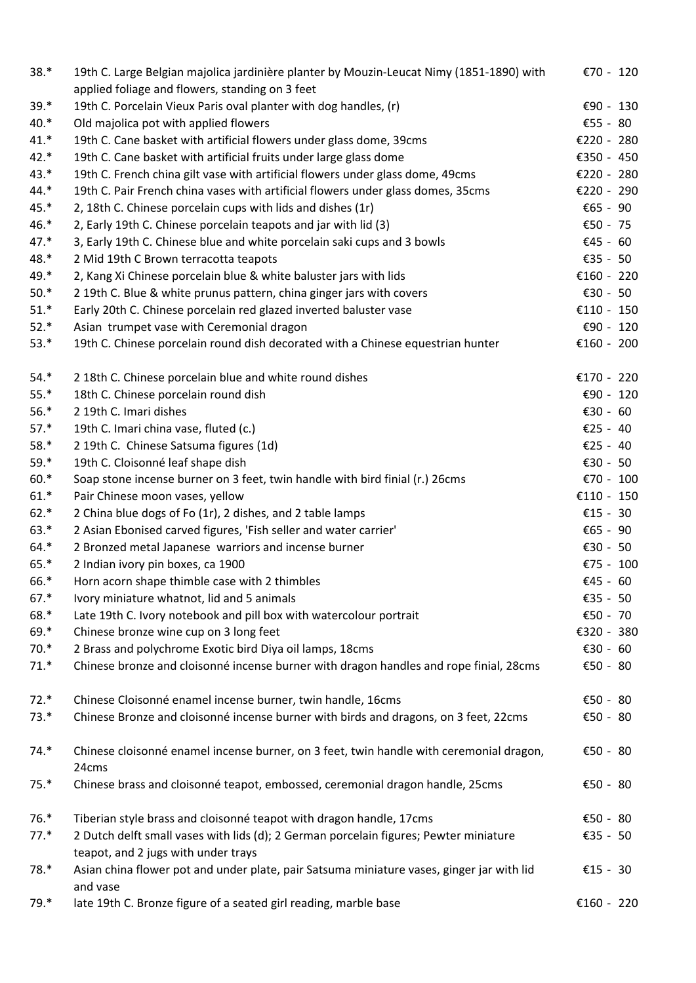| $38.*$ | 19th C. Large Belgian majolica jardinière planter by Mouzin-Leucat Nimy (1851-1890) with<br>applied foliage and flowers, standing on 3 feet | €70 - 120  |
|--------|---------------------------------------------------------------------------------------------------------------------------------------------|------------|
| $39.*$ | 19th C. Porcelain Vieux Paris oval planter with dog handles, (r)                                                                            | €90 - 130  |
| $40.*$ | Old majolica pot with applied flowers                                                                                                       | €55 - 80   |
| $41.*$ | 19th C. Cane basket with artificial flowers under glass dome, 39cms                                                                         | €220 - 280 |
| $42.*$ | 19th C. Cane basket with artificial fruits under large glass dome                                                                           | €350 - 450 |
| $43.*$ | 19th C. French china gilt vase with artificial flowers under glass dome, 49cms                                                              | €220 - 280 |
| $44.*$ | 19th C. Pair French china vases with artificial flowers under glass domes, 35cms                                                            | €220 - 290 |
| 45.*   | 2, 18th C. Chinese porcelain cups with lids and dishes (1r)                                                                                 | €65 - 90   |
| $46.*$ | 2, Early 19th C. Chinese porcelain teapots and jar with lid (3)                                                                             | €50 - 75   |
| $47.*$ | 3, Early 19th C. Chinese blue and white porcelain saki cups and 3 bowls                                                                     | €45 - 60   |
| 48.*   | 2 Mid 19th C Brown terracotta teapots                                                                                                       | €35 - 50   |
| 49.*   | 2, Kang Xi Chinese porcelain blue & white baluster jars with lids                                                                           | €160 - 220 |
| $50.*$ | 2 19th C. Blue & white prunus pattern, china ginger jars with covers                                                                        | €30 - 50   |
| $51.*$ | Early 20th C. Chinese porcelain red glazed inverted baluster vase                                                                           | €110 - 150 |
| $52.*$ | Asian trumpet vase with Ceremonial dragon                                                                                                   | €90 - 120  |
| $53.*$ | 19th C. Chinese porcelain round dish decorated with a Chinese equestrian hunter                                                             | €160 - 200 |
| $54.*$ | 2 18th C. Chinese porcelain blue and white round dishes                                                                                     | €170 - 220 |
| $55.*$ | 18th C. Chinese porcelain round dish                                                                                                        | €90 - 120  |
| $56.*$ | 2 19th C. Imari dishes                                                                                                                      | €30 - 60   |
| $57.*$ | 19th C. Imari china vase, fluted (c.)                                                                                                       | €25 - 40   |
| $58.*$ | 2 19th C. Chinese Satsuma figures (1d)                                                                                                      | €25 - 40   |
| $59.*$ | 19th C. Cloisonné leaf shape dish                                                                                                           | €30 - 50   |
| $60.*$ | Soap stone incense burner on 3 feet, twin handle with bird finial (r.) 26cms                                                                | €70 - 100  |
| $61.*$ | Pair Chinese moon vases, yellow                                                                                                             | €110 - 150 |
| $62.*$ | 2 China blue dogs of Fo (1r), 2 dishes, and 2 table lamps                                                                                   | €15 - 30   |
| $63.*$ | 2 Asian Ebonised carved figures, 'Fish seller and water carrier'                                                                            | €65 - 90   |
| $64.*$ | 2 Bronzed metal Japanese warriors and incense burner                                                                                        | €30 - 50   |
| $65.*$ | 2 Indian ivory pin boxes, ca 1900                                                                                                           | €75 - 100  |
| 66.*   | Horn acorn shape thimble case with 2 thimbles                                                                                               | €45 - 60   |
| $67.*$ | Ivory miniature whatnot, lid and 5 animals                                                                                                  | €35 - 50   |
| 68.*   | Late 19th C. Ivory notebook and pill box with watercolour portrait                                                                          | €50 - 70   |
| 69.*   | Chinese bronze wine cup on 3 long feet                                                                                                      | €320 - 380 |
| $70.*$ | 2 Brass and polychrome Exotic bird Diya oil lamps, 18cms                                                                                    | €30 - 60   |
| $71.*$ | Chinese bronze and cloisonné incense burner with dragon handles and rope finial, 28cms                                                      | €50 - 80   |
| $72.*$ | Chinese Cloisonné enamel incense burner, twin handle, 16cms                                                                                 | €50 - 80   |
| $73.*$ | Chinese Bronze and cloisonné incense burner with birds and dragons, on 3 feet, 22cms                                                        | €50 - 80   |
| $74.*$ | Chinese cloisonné enamel incense burner, on 3 feet, twin handle with ceremonial dragon,                                                     | €50 - 80   |
|        | 24cms                                                                                                                                       |            |
| $75.*$ | Chinese brass and cloisonné teapot, embossed, ceremonial dragon handle, 25cms                                                               | €50 - 80   |
| $76.*$ | Tiberian style brass and cloisonné teapot with dragon handle, 17cms                                                                         | €50 - 80   |
| $77.*$ | 2 Dutch delft small vases with lids (d); 2 German porcelain figures; Pewter miniature                                                       | €35 - 50   |
|        | teapot, and 2 jugs with under trays                                                                                                         |            |
| 78.*   | Asian china flower pot and under plate, pair Satsuma miniature vases, ginger jar with lid<br>and vase                                       | €15 - 30   |
| 79.*   | late 19th C. Bronze figure of a seated girl reading, marble base                                                                            | €160 - 220 |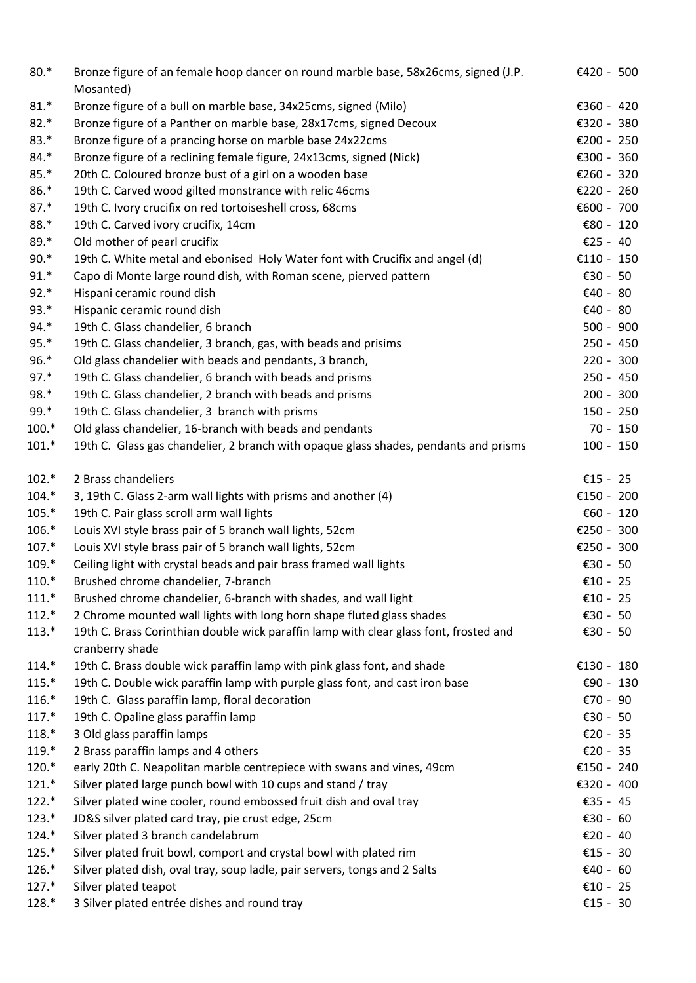| $80.*$  | Bronze figure of an female hoop dancer on round marble base, 58x26cms, signed (J.P.<br>Mosanted) | €420 - 500   |
|---------|--------------------------------------------------------------------------------------------------|--------------|
| $81.*$  | Bronze figure of a bull on marble base, 34x25cms, signed (Milo)                                  | €360 - 420   |
| $82.*$  | Bronze figure of a Panther on marble base, 28x17cms, signed Decoux                               | €320 - 380   |
| $83.*$  | Bronze figure of a prancing horse on marble base 24x22cms                                        | €200 - 250   |
| $84.*$  | Bronze figure of a reclining female figure, 24x13cms, signed (Nick)                              | €300 - 360   |
| $85.*$  | 20th C. Coloured bronze bust of a girl on a wooden base                                          | €260 - 320   |
| 86.*    | 19th C. Carved wood gilted monstrance with relic 46cms                                           | €220 - 260   |
| $87.*$  | 19th C. Ivory crucifix on red tortoiseshell cross, 68cms                                         | €600 - 700   |
| 88.*    | 19th C. Carved ivory crucifix, 14cm                                                              | € $80 - 120$ |
| $89.*$  | Old mother of pearl crucifix                                                                     | €25 - 40     |
| $90.*$  | 19th C. White metal and ebonised Holy Water font with Crucifix and angel (d)                     | €110 - 150   |
| $91.*$  | Capo di Monte large round dish, with Roman scene, pierved pattern                                | €30 - 50     |
| $92.*$  | Hispani ceramic round dish                                                                       | €40 - 80     |
| $93.*$  | Hispanic ceramic round dish                                                                      | €40 - 80     |
| 94.*    | 19th C. Glass chandelier, 6 branch                                                               | $500 - 900$  |
| $95.*$  | 19th C. Glass chandelier, 3 branch, gas, with beads and prisims                                  | $250 - 450$  |
| $96.*$  | Old glass chandelier with beads and pendants, 3 branch,                                          | $220 - 300$  |
| $97.*$  | 19th C. Glass chandelier, 6 branch with beads and prisms                                         | 250 - 450    |
| 98.*    | 19th C. Glass chandelier, 2 branch with beads and prisms                                         | $200 - 300$  |
| 99.*    | 19th C. Glass chandelier, 3 branch with prisms                                                   | $150 - 250$  |
| $100.*$ | Old glass chandelier, 16-branch with beads and pendants                                          | $70 - 150$   |
| $101.*$ | 19th C. Glass gas chandelier, 2 branch with opaque glass shades, pendants and prisms             | $100 - 150$  |
| $102.*$ | 2 Brass chandeliers                                                                              | €15 - 25     |
| $104.*$ | 3, 19th C. Glass 2-arm wall lights with prisms and another (4)                                   | €150 - 200   |
| $105.*$ | 19th C. Pair glass scroll arm wall lights                                                        | €60 - 120    |
| 106.*   | Louis XVI style brass pair of 5 branch wall lights, 52cm                                         | €250 - 300   |
| $107.*$ | Louis XVI style brass pair of 5 branch wall lights, 52cm                                         | €250 - 300   |
| $109.*$ | Ceiling light with crystal beads and pair brass framed wall lights                               | €30 - 50     |
| $110.*$ | Brushed chrome chandelier, 7-branch                                                              | €10 - 25     |
| $111.*$ | Brushed chrome chandelier, 6-branch with shades, and wall light                                  | €10 - 25     |
| $112.*$ | 2 Chrome mounted wall lights with long horn shape fluted glass shades                            | €30 - 50     |
| $113.*$ | 19th C. Brass Corinthian double wick paraffin lamp with clear glass font, frosted and            | €30 - 50     |
|         | cranberry shade                                                                                  |              |
| $114.*$ | 19th C. Brass double wick paraffin lamp with pink glass font, and shade                          | €130 - 180   |
| $115.*$ | 19th C. Double wick paraffin lamp with purple glass font, and cast iron base                     | €90 - 130    |
| $116.*$ | 19th C. Glass paraffin lamp, floral decoration                                                   | €70 - 90     |
| $117.*$ | 19th C. Opaline glass paraffin lamp                                                              | €30 - 50     |
| $118.*$ | 3 Old glass paraffin lamps                                                                       | €20 - 35     |
| $119.*$ | 2 Brass paraffin lamps and 4 others                                                              | €20 - 35     |
| $120.*$ | early 20th C. Neapolitan marble centrepiece with swans and vines, 49cm                           | €150 - 240   |
| $121.*$ | Silver plated large punch bowl with 10 cups and stand / tray                                     | €320 - 400   |
| $122.*$ | Silver plated wine cooler, round embossed fruit dish and oval tray                               | €35 - 45     |
| $123.*$ | JD&S silver plated card tray, pie crust edge, 25cm                                               | €30 - 60     |
| $124.*$ | Silver plated 3 branch candelabrum                                                               | €20 - 40     |
| $125.*$ | Silver plated fruit bowl, comport and crystal bowl with plated rim                               | €15 - 30     |
| 126.*   | Silver plated dish, oval tray, soup ladle, pair servers, tongs and 2 Salts                       | €40 - 60     |
| $127.*$ | Silver plated teapot                                                                             | €10 - 25     |
| 128.*   | 3 Silver plated entrée dishes and round tray                                                     | €15 - 30     |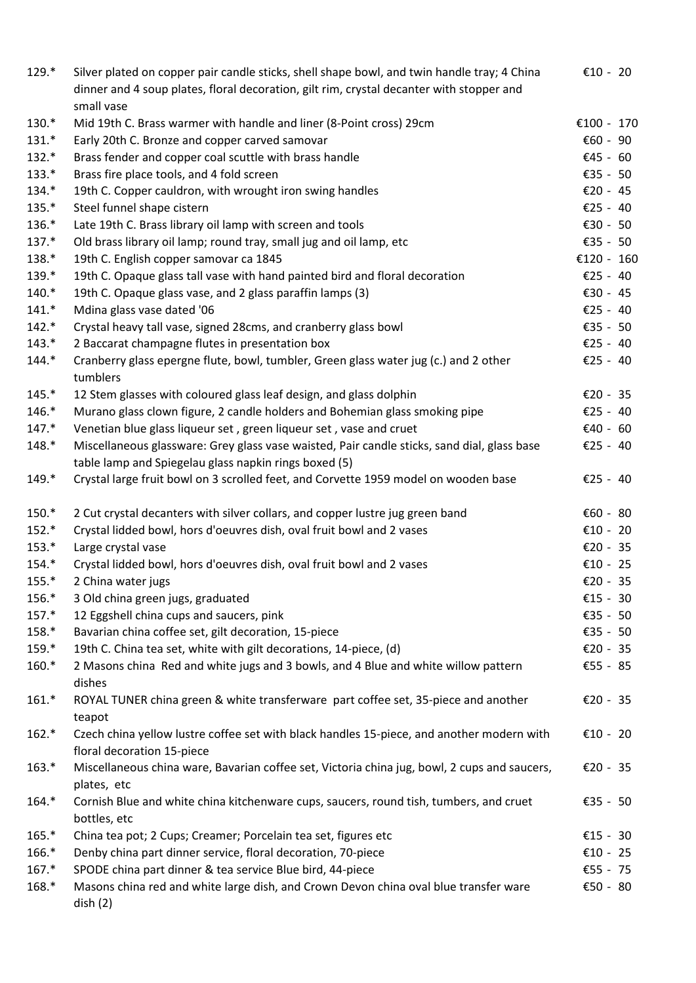| $129.*$ | Silver plated on copper pair candle sticks, shell shape bowl, and twin handle tray; 4 China<br>dinner and 4 soup plates, floral decoration, gilt rim, crystal decanter with stopper and<br>small vase | €10 - 20   |
|---------|-------------------------------------------------------------------------------------------------------------------------------------------------------------------------------------------------------|------------|
| 130.*   | Mid 19th C. Brass warmer with handle and liner (8-Point cross) 29cm                                                                                                                                   | €100 - 170 |
| $131.*$ | Early 20th C. Bronze and copper carved samovar                                                                                                                                                        | €60 - 90   |
| $132.*$ | Brass fender and copper coal scuttle with brass handle                                                                                                                                                | €45 - 60   |
| $133.*$ | Brass fire place tools, and 4 fold screen                                                                                                                                                             | €35 - 50   |
| 134.*   | 19th C. Copper cauldron, with wrought iron swing handles                                                                                                                                              | €20 - 45   |
| 135.*   | Steel funnel shape cistern                                                                                                                                                                            | €25 - 40   |
| 136.*   | Late 19th C. Brass library oil lamp with screen and tools                                                                                                                                             | €30 - 50   |
| $137.*$ | Old brass library oil lamp; round tray, small jug and oil lamp, etc                                                                                                                                   | €35 - 50   |
| 138.*   | 19th C. English copper samovar ca 1845                                                                                                                                                                | €120 - 160 |
| 139.*   | 19th C. Opaque glass tall vase with hand painted bird and floral decoration                                                                                                                           | €25 - 40   |
| $140.*$ | 19th C. Opaque glass vase, and 2 glass paraffin lamps (3)                                                                                                                                             | €30 - 45   |
| $141.*$ | Mdina glass vase dated '06                                                                                                                                                                            | €25 - 40   |
| $142.*$ | Crystal heavy tall vase, signed 28cms, and cranberry glass bowl                                                                                                                                       | €35 - 50   |
| $143.*$ | 2 Baccarat champagne flutes in presentation box                                                                                                                                                       | €25 - 40   |
| $144.*$ | Cranberry glass epergne flute, bowl, tumbler, Green glass water jug (c.) and 2 other<br>tumblers                                                                                                      | €25 - 40   |
| $145.*$ | 12 Stem glasses with coloured glass leaf design, and glass dolphin                                                                                                                                    | €20 - 35   |
| $146.*$ | Murano glass clown figure, 2 candle holders and Bohemian glass smoking pipe                                                                                                                           | €25 - 40   |
| $147.*$ | Venetian blue glass liqueur set, green liqueur set, vase and cruet                                                                                                                                    | €40 - 60   |
| $148.*$ | Miscellaneous glassware: Grey glass vase waisted, Pair candle sticks, sand dial, glass base<br>table lamp and Spiegelau glass napkin rings boxed (5)                                                  | €25 - 40   |
| $149.*$ | Crystal large fruit bowl on 3 scrolled feet, and Corvette 1959 model on wooden base                                                                                                                   | €25 - 40   |
| 150.*   | 2 Cut crystal decanters with silver collars, and copper lustre jug green band                                                                                                                         | €60 - 80   |
| $152.*$ | Crystal lidded bowl, hors d'oeuvres dish, oval fruit bowl and 2 vases                                                                                                                                 | €10 - 20   |
| $153.*$ | Large crystal vase                                                                                                                                                                                    | €20 - 35   |
| 154.*   | Crystal lidded bowl, hors d'oeuvres dish, oval fruit bowl and 2 vases                                                                                                                                 | €10 - 25   |
| $155.*$ | 2 China water jugs                                                                                                                                                                                    | €20 - 35   |
| 156.*   | 3 Old china green jugs, graduated                                                                                                                                                                     | €15 - 30   |
| $157.*$ | 12 Eggshell china cups and saucers, pink                                                                                                                                                              | €35 - 50   |
| 158.*   | Bavarian china coffee set, gilt decoration, 15-piece                                                                                                                                                  | €35 - 50   |
| 159.*   | 19th C. China tea set, white with gilt decorations, 14-piece, (d)                                                                                                                                     | €20 - 35   |
| $160.*$ | 2 Masons china Red and white jugs and 3 bowls, and 4 Blue and white willow pattern<br>dishes                                                                                                          | €55 - 85   |
| $161.*$ | ROYAL TUNER china green & white transferware part coffee set, 35-piece and another<br>teapot                                                                                                          | €20 - 35   |
| $162.*$ | Czech china yellow lustre coffee set with black handles 15-piece, and another modern with<br>floral decoration 15-piece                                                                               | €10 - 20   |
| $163.*$ | Miscellaneous china ware, Bavarian coffee set, Victoria china jug, bowl, 2 cups and saucers,<br>plates, etc                                                                                           | €20 - 35   |
| $164.*$ | Cornish Blue and white china kitchenware cups, saucers, round tish, tumbers, and cruet<br>bottles, etc                                                                                                | €35 - 50   |
| $165.*$ | China tea pot; 2 Cups; Creamer; Porcelain tea set, figures etc                                                                                                                                        | €15 - 30   |
| 166.*   | Denby china part dinner service, floral decoration, 70-piece                                                                                                                                          | €10 - 25   |
| $167.*$ | SPODE china part dinner & tea service Blue bird, 44-piece                                                                                                                                             | €55 - 75   |
| 168.*   | Masons china red and white large dish, and Crown Devon china oval blue transfer ware<br>$_{\text{dish}}(2)$                                                                                           | €50 - 80   |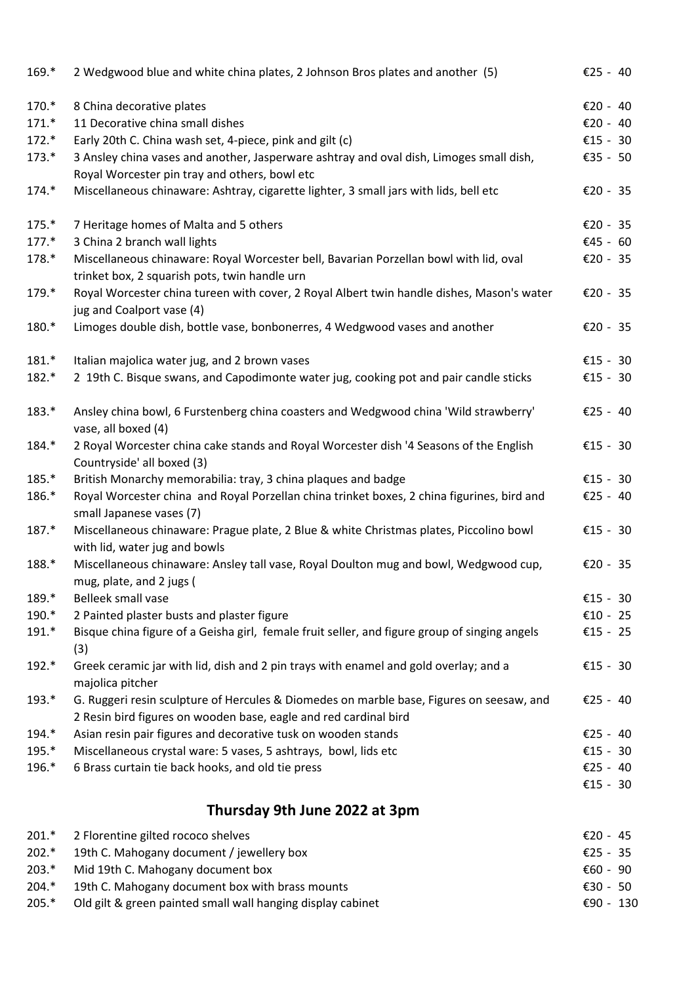| $169.*$ | 2 Wedgwood blue and white china plates, 2 Johnson Bros plates and another (5)                                                                                | €25 - 40 |  |
|---------|--------------------------------------------------------------------------------------------------------------------------------------------------------------|----------|--|
| 170.*   | 8 China decorative plates                                                                                                                                    | €20 - 40 |  |
| $171.*$ | 11 Decorative china small dishes                                                                                                                             | €20 - 40 |  |
| $172.*$ | Early 20th C. China wash set, 4-piece, pink and gilt (c)                                                                                                     | €15 - 30 |  |
| $173.*$ | 3 Ansley china vases and another, Jasperware ashtray and oval dish, Limoges small dish,                                                                      | €35 - 50 |  |
|         | Royal Worcester pin tray and others, bowl etc                                                                                                                |          |  |
| $174.*$ | Miscellaneous chinaware: Ashtray, cigarette lighter, 3 small jars with lids, bell etc                                                                        | €20 - 35 |  |
| $175.*$ | 7 Heritage homes of Malta and 5 others                                                                                                                       | €20 - 35 |  |
| $177.*$ | 3 China 2 branch wall lights                                                                                                                                 | €45 - 60 |  |
| 178.*   | Miscellaneous chinaware: Royal Worcester bell, Bavarian Porzellan bowl with lid, oval<br>trinket box, 2 squarish pots, twin handle urn                       | €20 - 35 |  |
| 179.*   | Royal Worcester china tureen with cover, 2 Royal Albert twin handle dishes, Mason's water<br>jug and Coalport vase (4)                                       | €20 - 35 |  |
| 180.*   | Limoges double dish, bottle vase, bonbonerres, 4 Wedgwood vases and another                                                                                  | €20 - 35 |  |
| $181.*$ | Italian majolica water jug, and 2 brown vases                                                                                                                | €15 - 30 |  |
| 182.*   | 2 19th C. Bisque swans, and Capodimonte water jug, cooking pot and pair candle sticks                                                                        | €15 - 30 |  |
| $183.*$ | Ansley china bowl, 6 Furstenberg china coasters and Wedgwood china 'Wild strawberry'<br>vase, all boxed (4)                                                  | €25 - 40 |  |
| 184.*   | 2 Royal Worcester china cake stands and Royal Worcester dish '4 Seasons of the English<br>Countryside' all boxed (3)                                         | €15 - 30 |  |
| 185.*   | British Monarchy memorabilia: tray, 3 china plaques and badge                                                                                                | €15 - 30 |  |
| 186.*   | Royal Worcester china and Royal Porzellan china trinket boxes, 2 china figurines, bird and<br>small Japanese vases (7)                                       | €25 - 40 |  |
| 187.*   | Miscellaneous chinaware: Prague plate, 2 Blue & white Christmas plates, Piccolino bowl<br>with lid, water jug and bowls                                      | €15 - 30 |  |
| 188.*   | Miscellaneous chinaware: Ansley tall vase, Royal Doulton mug and bowl, Wedgwood cup,<br>mug, plate, and 2 jugs (                                             | €20 - 35 |  |
| 189.*   | Belleek small vase                                                                                                                                           | €15 - 30 |  |
| 190.*   | 2 Painted plaster busts and plaster figure                                                                                                                   | €10 - 25 |  |
| 191.*   | Bisque china figure of a Geisha girl, female fruit seller, and figure group of singing angels                                                                | €15 - 25 |  |
| 192.*   | (3)<br>Greek ceramic jar with lid, dish and 2 pin trays with enamel and gold overlay; and a<br>majolica pitcher                                              | €15 - 30 |  |
| $193.*$ | G. Ruggeri resin sculpture of Hercules & Diomedes on marble base, Figures on seesaw, and<br>2 Resin bird figures on wooden base, eagle and red cardinal bird | €25 - 40 |  |
| 194.*   | Asian resin pair figures and decorative tusk on wooden stands                                                                                                | €25 - 40 |  |
| 195.*   | Miscellaneous crystal ware: 5 vases, 5 ashtrays, bowl, lids etc                                                                                              | €15 - 30 |  |
| 196.*   | 6 Brass curtain tie back hooks, and old tie press                                                                                                            | €25 - 40 |  |
|         |                                                                                                                                                              | €15 - 30 |  |
|         | Thursday 9th June 2022 at 3pm                                                                                                                                |          |  |

| $201.*$ | 2 Florentine gilted rococo shelves                          | €20 - 45  |  |
|---------|-------------------------------------------------------------|-----------|--|
| $202.*$ | 19th C. Mahogany document / jewellery box                   | €25 - 35  |  |
| $203.*$ | Mid 19th C. Mahogany document box                           | €60 - 90  |  |
| $204.*$ | 19th C. Mahogany document box with brass mounts             | €30 - 50  |  |
| $205.*$ | Old gilt & green painted small wall hanging display cabinet | €90 - 130 |  |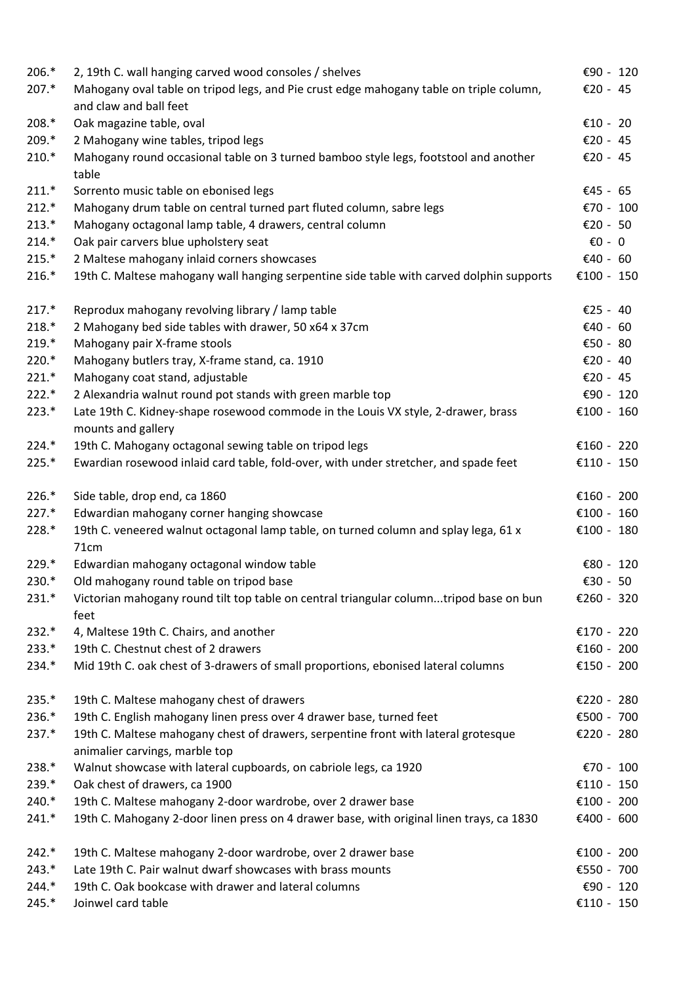| 206.*   | 2, 19th C. wall hanging carved wood consoles / shelves                                                               | €90 - 120        |
|---------|----------------------------------------------------------------------------------------------------------------------|------------------|
| $207.*$ | Mahogany oval table on tripod legs, and Pie crust edge mahogany table on triple column,<br>and claw and ball feet    | €20 - 45         |
| 208.*   | Oak magazine table, oval                                                                                             | €10 - 20         |
| 209.*   | 2 Mahogany wine tables, tripod legs                                                                                  | €20 - 45         |
| $210.*$ | Mahogany round occasional table on 3 turned bamboo style legs, footstool and another<br>table                        | €20 - 45         |
| $211.*$ | Sorrento music table on ebonised legs                                                                                | €45 - 65         |
| $212.*$ | Mahogany drum table on central turned part fluted column, sabre legs                                                 | €70 - 100        |
| $213.*$ | Mahogany octagonal lamp table, 4 drawers, central column                                                             | €20 - 50         |
| $214.*$ | Oak pair carvers blue upholstery seat                                                                                | $\epsilon$ 0 - 0 |
| $215.*$ | 2 Maltese mahogany inlaid corners showcases                                                                          | €40 - 60         |
| $216.*$ | 19th C. Maltese mahogany wall hanging serpentine side table with carved dolphin supports                             | €100 - 150       |
| $217.*$ | Reprodux mahogany revolving library / lamp table                                                                     | €25 - 40         |
| $218.*$ | 2 Mahogany bed side tables with drawer, 50 x64 x 37cm                                                                | €40 - 60         |
| 219.*   | Mahogany pair X-frame stools                                                                                         | €50 - 80         |
| 220.*   | Mahogany butlers tray, X-frame stand, ca. 1910                                                                       | €20 - 40         |
| $221.*$ | Mahogany coat stand, adjustable                                                                                      | €20 - 45         |
| $222.*$ | 2 Alexandria walnut round pot stands with green marble top                                                           | €90 - 120        |
| $223.*$ | Late 19th C. Kidney-shape rosewood commode in the Louis VX style, 2-drawer, brass<br>mounts and gallery              | €100 - 160       |
| $224.*$ | 19th C. Mahogany octagonal sewing table on tripod legs                                                               | €160 - 220       |
| $225.*$ | Ewardian rosewood inlaid card table, fold-over, with under stretcher, and spade feet                                 | €110 - 150       |
| $226.*$ | Side table, drop end, ca 1860                                                                                        | €160 - 200       |
| $227.*$ | Edwardian mahogany corner hanging showcase                                                                           | €100 - 160       |
| 228.*   | 19th C. veneered walnut octagonal lamp table, on turned column and splay lega, 61 x<br>71cm                          | €100 - 180       |
| $229.*$ | Edwardian mahogany octagonal window table                                                                            | € $80 - 120$     |
| $230.*$ | Old mahogany round table on tripod base                                                                              | €30 - 50         |
| $231.*$ | Victorian mahogany round tilt top table on central triangular columntripod base on bun<br>feet                       | €260 - 320       |
| $232.*$ | 4, Maltese 19th C. Chairs, and another                                                                               | €170 - 220       |
| $233.*$ | 19th C. Chestnut chest of 2 drawers                                                                                  | €160 - 200       |
| 234.*   | Mid 19th C. oak chest of 3-drawers of small proportions, ebonised lateral columns                                    | €150 - 200       |
| $235.*$ | 19th C. Maltese mahogany chest of drawers                                                                            | €220 - 280       |
| 236.*   | 19th C. English mahogany linen press over 4 drawer base, turned feet                                                 | €500 - 700       |
| $237.*$ | 19th C. Maltese mahogany chest of drawers, serpentine front with lateral grotesque<br>animalier carvings, marble top | €220 - 280       |
| 238.*   | Walnut showcase with lateral cupboards, on cabriole legs, ca 1920                                                    | €70 - 100        |
| 239.*   | Oak chest of drawers, ca 1900                                                                                        | €110 - 150       |
| $240.*$ | 19th C. Maltese mahogany 2-door wardrobe, over 2 drawer base                                                         | €100 - 200       |
| $241.*$ | 19th C. Mahogany 2-door linen press on 4 drawer base, with original linen trays, ca 1830                             | €400 - 600       |
| $242.*$ | 19th C. Maltese mahogany 2-door wardrobe, over 2 drawer base                                                         | €100 - 200       |
| $243.*$ | Late 19th C. Pair walnut dwarf showcases with brass mounts                                                           | €550 - 700       |
| $244.*$ | 19th C. Oak bookcase with drawer and lateral columns                                                                 | €90 - 120        |
| $245.*$ | Joinwel card table                                                                                                   | €110 - 150       |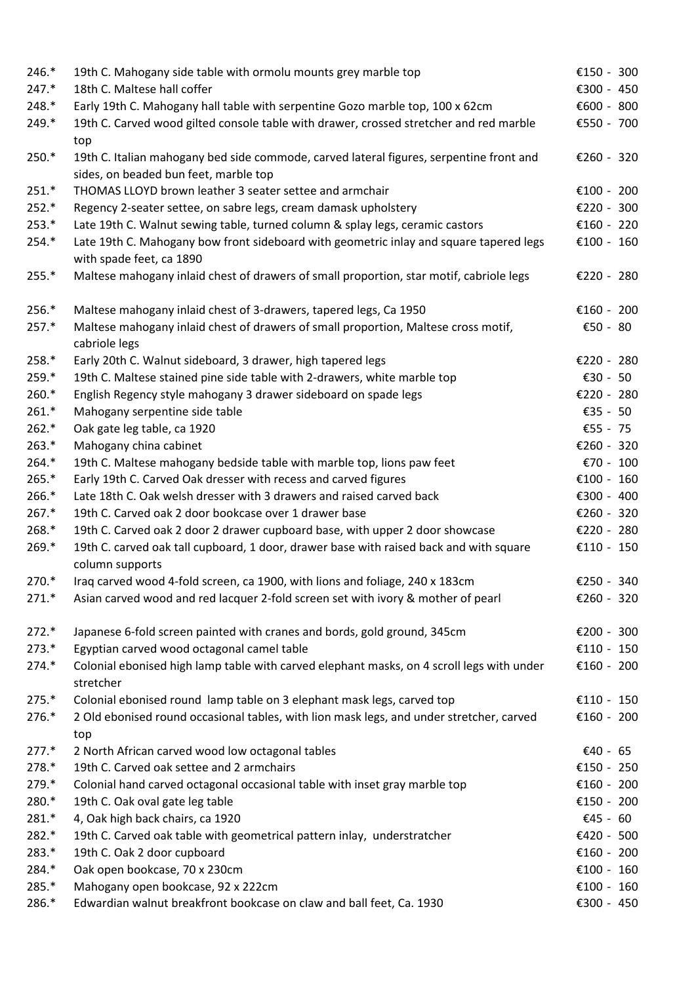| $246.*$<br>$247.*$ | 19th C. Mahogany side table with ormolu mounts grey marble top<br>18th C. Maltese hall coffer                                    | €150 - 300<br>€300 - 450 |
|--------------------|----------------------------------------------------------------------------------------------------------------------------------|--------------------------|
| 248.*              | Early 19th C. Mahogany hall table with serpentine Gozo marble top, 100 x 62cm                                                    | €600 - 800               |
| 249.*              | 19th C. Carved wood gilted console table with drawer, crossed stretcher and red marble<br>top                                    | €550 - 700               |
| 250.*              | 19th C. Italian mahogany bed side commode, carved lateral figures, serpentine front and<br>sides, on beaded bun feet, marble top | €260 - 320               |
| $251.*$            | THOMAS LLOYD brown leather 3 seater settee and armchair                                                                          | €100 - 200               |
| $252.*$            | Regency 2-seater settee, on sabre legs, cream damask upholstery                                                                  | €220 - 300               |
| $253.*$            | Late 19th C. Walnut sewing table, turned column & splay legs, ceramic castors                                                    | €160 - 220               |
| 254.*              | Late 19th C. Mahogany bow front sideboard with geometric inlay and square tapered legs<br>with spade feet, ca 1890               | €100 - 160               |
| $255.*$            | Maltese mahogany inlaid chest of drawers of small proportion, star motif, cabriole legs                                          | €220 - 280               |
| 256.*              | Maltese mahogany inlaid chest of 3-drawers, tapered legs, Ca 1950                                                                | €160 - 200               |
| $257.*$            | Maltese mahogany inlaid chest of drawers of small proportion, Maltese cross motif,<br>cabriole legs                              | €50 - 80                 |
| 258.*              | Early 20th C. Walnut sideboard, 3 drawer, high tapered legs                                                                      | €220 - 280               |
| 259.*              | 19th C. Maltese stained pine side table with 2-drawers, white marble top                                                         | €30 - 50                 |
| $260.*$            | English Regency style mahogany 3 drawer sideboard on spade legs                                                                  | €220 - 280               |
| $261.*$            | Mahogany serpentine side table                                                                                                   | €35 - 50                 |
| $262.*$            | Oak gate leg table, ca 1920                                                                                                      | €55 - 75                 |
| $263.*$            | Mahogany china cabinet                                                                                                           | €260 - 320               |
| $264.*$            | 19th C. Maltese mahogany bedside table with marble top, lions paw feet                                                           | €70 - 100                |
| $265.*$            | Early 19th C. Carved Oak dresser with recess and carved figures                                                                  | €100 - 160               |
| 266.*              | Late 18th C. Oak welsh dresser with 3 drawers and raised carved back                                                             | €300 - 400               |
| $267.*$            | 19th C. Carved oak 2 door bookcase over 1 drawer base                                                                            | €260 - 320               |
| 268.*              | 19th C. Carved oak 2 door 2 drawer cupboard base, with upper 2 door showcase                                                     | €220 - 280               |
| 269.*              | 19th C. carved oak tall cupboard, 1 door, drawer base with raised back and with square<br>column supports                        | €110 - 150               |
| 270.*              | Iraq carved wood 4-fold screen, ca 1900, with lions and foliage, 240 x 183cm                                                     | €250 - 340               |
| $271.*$            | Asian carved wood and red lacquer 2-fold screen set with ivory & mother of pearl                                                 | €260 - 320               |
| $272.*$            | Japanese 6-fold screen painted with cranes and bords, gold ground, 345cm                                                         | €200 - 300               |
| $273.*$            | Egyptian carved wood octagonal camel table                                                                                       | €110 - 150               |
| $274.*$            | Colonial ebonised high lamp table with carved elephant masks, on 4 scroll legs with under<br>stretcher                           | €160 - 200               |
| $275.*$            | Colonial ebonised round lamp table on 3 elephant mask legs, carved top                                                           | €110 - 150               |
| 276.*              | 2 Old ebonised round occasional tables, with lion mask legs, and under stretcher, carved<br>top                                  | €160 - 200               |
| $277.*$            | 2 North African carved wood low octagonal tables                                                                                 | €40 - 65                 |
| 278.*              | 19th C. Carved oak settee and 2 armchairs                                                                                        | €150 - 250               |
| 279.*              | Colonial hand carved octagonal occasional table with inset gray marble top                                                       | €160 - 200               |
| 280.*              | 19th C. Oak oval gate leg table                                                                                                  | €150 - 200               |
| 281.*              | 4, Oak high back chairs, ca 1920                                                                                                 | €45 - 60                 |
| 282.*              | 19th C. Carved oak table with geometrical pattern inlay, understratcher                                                          | €420 - 500               |
| 283.*              | 19th C. Oak 2 door cupboard                                                                                                      | €160 - 200               |
| 284.*              | Oak open bookcase, 70 x 230cm                                                                                                    | €100 - 160               |
| 285.*              | Mahogany open bookcase, 92 x 222cm                                                                                               | €100 - 160               |
| 286.*              | Edwardian walnut breakfront bookcase on claw and ball feet, Ca. 1930                                                             | €300 - 450               |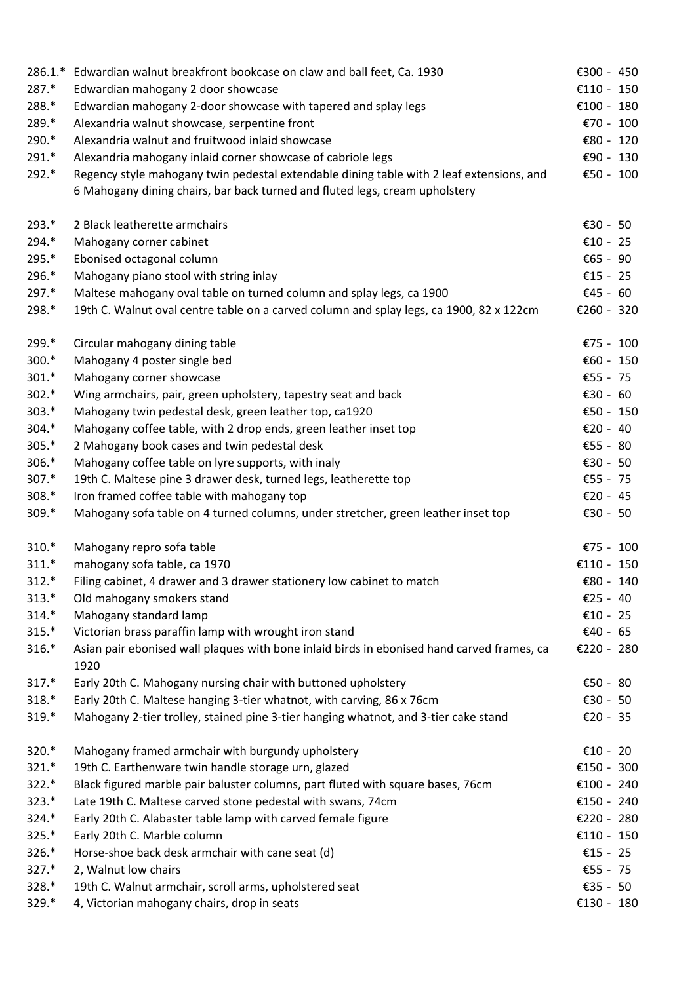| $286.1.*$ | Edwardian walnut breakfront bookcase on claw and ball feet, Ca. 1930                               | €300 - 450   |
|-----------|----------------------------------------------------------------------------------------------------|--------------|
| 287.*     | Edwardian mahogany 2 door showcase                                                                 | €110 - 150   |
| 288.*     | Edwardian mahogany 2-door showcase with tapered and splay legs                                     | €100 - 180   |
| 289.*     | Alexandria walnut showcase, serpentine front                                                       | €70 - 100    |
| 290.*     | Alexandria walnut and fruitwood inlaid showcase                                                    | €80 - 120    |
| $291.*$   | Alexandria mahogany inlaid corner showcase of cabriole legs                                        | € $90 - 130$ |
| 292.*     | Regency style mahogany twin pedestal extendable dining table with 2 leaf extensions, and           | €50 - 100    |
|           | 6 Mahogany dining chairs, bar back turned and fluted legs, cream upholstery                        |              |
| $293.*$   | 2 Black leatherette armchairs                                                                      | €30 - 50     |
| 294.*     | Mahogany corner cabinet                                                                            | €10 - 25     |
| 295.*     | Ebonised octagonal column                                                                          | €65 - 90     |
| 296.*     | Mahogany piano stool with string inlay                                                             | €15 - 25     |
| 297.*     | Maltese mahogany oval table on turned column and splay legs, ca 1900                               | €45 - 60     |
| 298.*     | 19th C. Walnut oval centre table on a carved column and splay legs, ca 1900, 82 x 122cm            | €260 - 320   |
| 299.*     | Circular mahogany dining table                                                                     | €75 - 100    |
| 300.*     | Mahogany 4 poster single bed                                                                       | €60 - 150    |
| $301.*$   | Mahogany corner showcase                                                                           | €55 - 75     |
| $302.*$   | Wing armchairs, pair, green upholstery, tapestry seat and back                                     | €30 - 60     |
| $303.*$   | Mahogany twin pedestal desk, green leather top, ca1920                                             | €50 - 150    |
| $304.*$   | Mahogany coffee table, with 2 drop ends, green leather inset top                                   | €20 - 40     |
| $305.*$   | 2 Mahogany book cases and twin pedestal desk                                                       | €55 - 80     |
| 306.*     | Mahogany coffee table on lyre supports, with inaly                                                 | €30 - 50     |
| $307.*$   | 19th C. Maltese pine 3 drawer desk, turned legs, leatherette top                                   | €55 - 75     |
| 308.*     | Iron framed coffee table with mahogany top                                                         | €20 - 45     |
| 309.*     | Mahogany sofa table on 4 turned columns, under stretcher, green leather inset top                  | €30 - 50     |
| $310.*$   | Mahogany repro sofa table                                                                          | €75 - 100    |
| $311.*$   | mahogany sofa table, ca 1970                                                                       | €110 - 150   |
| $312.*$   | Filing cabinet, 4 drawer and 3 drawer stationery low cabinet to match                              | € $80 - 140$ |
| $313.*$   | Old mahogany smokers stand                                                                         | €25 - 40     |
| $314.*$   | Mahogany standard lamp                                                                             | €10 - 25     |
| $315.*$   | Victorian brass paraffin lamp with wrought iron stand                                              | €40 - 65     |
| $316.*$   | Asian pair ebonised wall plaques with bone inlaid birds in ebonised hand carved frames, ca<br>1920 | €220 - 280   |
| $317.*$   | Early 20th C. Mahogany nursing chair with buttoned upholstery                                      | €50 - 80     |
| $318.*$   | Early 20th C. Maltese hanging 3-tier whatnot, with carving, 86 x 76cm                              | €30 - 50     |
| 319.*     | Mahogany 2-tier trolley, stained pine 3-tier hanging whatnot, and 3-tier cake stand                | €20 - 35     |
| 320.*     | Mahogany framed armchair with burgundy upholstery                                                  | €10 - 20     |
| $321.*$   | 19th C. Earthenware twin handle storage urn, glazed                                                | €150 - 300   |
| 322.*     | Black figured marble pair baluster columns, part fluted with square bases, 76cm                    | €100 - 240   |
| 323.*     | Late 19th C. Maltese carved stone pedestal with swans, 74cm                                        | €150 - 240   |
| 324.*     | Early 20th C. Alabaster table lamp with carved female figure                                       | €220 - 280   |
| 325.*     | Early 20th C. Marble column                                                                        | €110 - 150   |
| 326.*     | Horse-shoe back desk armchair with cane seat (d)                                                   | €15 - 25     |
| 327.*     | 2, Walnut low chairs                                                                               | €55 - 75     |
| 328.*     | 19th C. Walnut armchair, scroll arms, upholstered seat                                             | €35 - 50     |
| 329.*     | 4, Victorian mahogany chairs, drop in seats                                                        | €130 - 180   |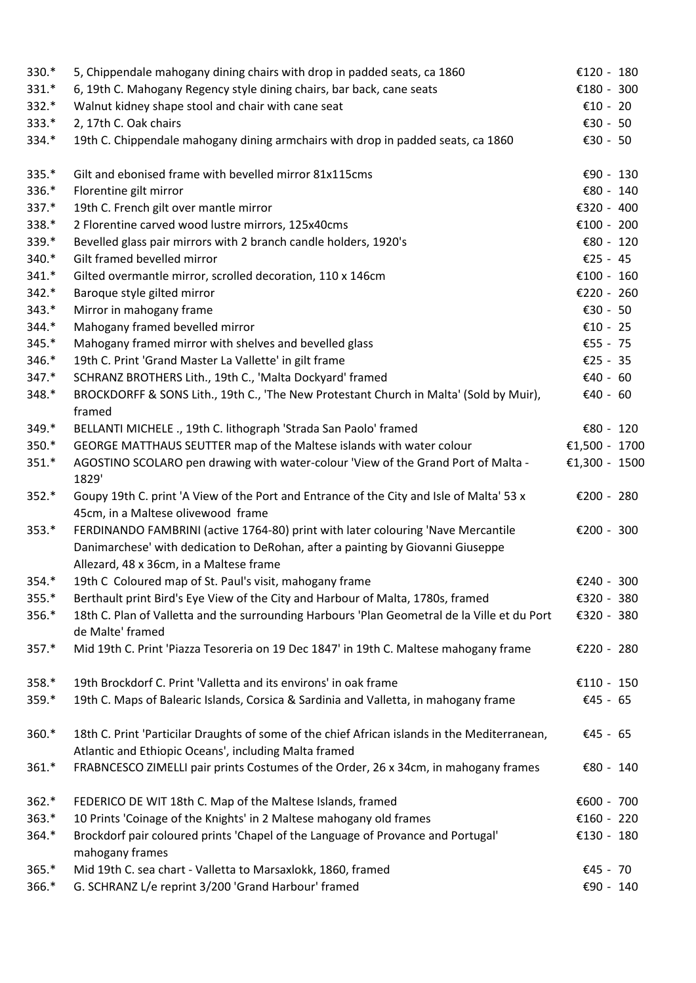| 330.*   | 5, Chippendale mahogany dining chairs with drop in padded seats, ca 1860                                                                               | €120 - 180    |  |
|---------|--------------------------------------------------------------------------------------------------------------------------------------------------------|---------------|--|
| $331.*$ | 6, 19th C. Mahogany Regency style dining chairs, bar back, cane seats                                                                                  | €180 - 300    |  |
| $332.*$ | Walnut kidney shape stool and chair with cane seat                                                                                                     | €10 - 20      |  |
| $333.*$ | 2, 17th C. Oak chairs                                                                                                                                  | €30 - 50      |  |
| 334.*   | 19th C. Chippendale mahogany dining armchairs with drop in padded seats, ca 1860                                                                       | €30 - 50      |  |
| 335.*   | Gilt and ebonised frame with bevelled mirror 81x115cms                                                                                                 | €90 - 130     |  |
| 336.*   | Florentine gilt mirror                                                                                                                                 | € $80 - 140$  |  |
| 337.*   | 19th C. French gilt over mantle mirror                                                                                                                 | €320 - 400    |  |
| 338.*   | 2 Florentine carved wood lustre mirrors, 125x40cms                                                                                                     | €100 - 200    |  |
| 339.*   | Bevelled glass pair mirrors with 2 branch candle holders, 1920's                                                                                       | € $80 - 120$  |  |
| 340.*   | Gilt framed bevelled mirror                                                                                                                            | €25 - 45      |  |
| $341.*$ | Gilted overmantle mirror, scrolled decoration, 110 x 146cm                                                                                             | €100 - 160    |  |
| $342.*$ | Baroque style gilted mirror                                                                                                                            | €220 - 260    |  |
| $343.*$ | Mirror in mahogany frame                                                                                                                               | €30 - 50      |  |
| $344.*$ | Mahogany framed bevelled mirror                                                                                                                        | €10 - 25      |  |
| $345.*$ | Mahogany framed mirror with shelves and bevelled glass                                                                                                 | €55 - 75      |  |
| 346.*   | 19th C. Print 'Grand Master La Vallette' in gilt frame                                                                                                 | €25 - 35      |  |
| $347.*$ | SCHRANZ BROTHERS Lith., 19th C., 'Malta Dockyard' framed                                                                                               | €40 - 60      |  |
| 348.*   | BROCKDORFF & SONS Lith., 19th C., 'The New Protestant Church in Malta' (Sold by Muir),<br>framed                                                       | €40 - 60      |  |
| 349.*   | BELLANTI MICHELE ., 19th C. lithograph 'Strada San Paolo' framed                                                                                       | € $80 - 120$  |  |
| $350.*$ | GEORGE MATTHAUS SEUTTER map of the Maltese islands with water colour                                                                                   | €1,500 - 1700 |  |
| $351.*$ | AGOSTINO SCOLARO pen drawing with water-colour 'View of the Grand Port of Malta -<br>1829'                                                             | €1,300 - 1500 |  |
| $352.*$ | Goupy 19th C. print 'A View of the Port and Entrance of the City and Isle of Malta' 53 x                                                               | €200 - 280    |  |
|         | 45cm, in a Maltese olivewood frame                                                                                                                     |               |  |
| $353.*$ | FERDINANDO FAMBRINI (active 1764-80) print with later colouring 'Nave Mercantile                                                                       | €200 - 300    |  |
|         | Danimarchese' with dedication to DeRohan, after a painting by Giovanni Giuseppe<br>Allezard, 48 x 36cm, in a Maltese frame                             |               |  |
| $354.*$ | 19th C Coloured map of St. Paul's visit, mahogany frame                                                                                                | €240 - 300    |  |
| $355.*$ | Berthault print Bird's Eye View of the City and Harbour of Malta, 1780s, framed                                                                        | €320 - 380    |  |
| 356.*   | 18th C. Plan of Valletta and the surrounding Harbours 'Plan Geometral de la Ville et du Port<br>de Malte' framed                                       | €320 - 380    |  |
| $357.*$ | Mid 19th C. Print 'Piazza Tesoreria on 19 Dec 1847' in 19th C. Maltese mahogany frame                                                                  | €220 - 280    |  |
| 358.*   | 19th Brockdorf C. Print 'Valletta and its environs' in oak frame                                                                                       | €110 - 150    |  |
| $359.*$ | 19th C. Maps of Balearic Islands, Corsica & Sardinia and Valletta, in mahogany frame                                                                   | €45 - 65      |  |
| $360.*$ | 18th C. Print 'Particilar Draughts of some of the chief African islands in the Mediterranean,<br>Atlantic and Ethiopic Oceans', including Malta framed | €45 - 65      |  |
| $361.*$ | FRABNCESCO ZIMELLI pair prints Costumes of the Order, 26 x 34cm, in mahogany frames                                                                    | € $80 - 140$  |  |
| $362.*$ | FEDERICO DE WIT 18th C. Map of the Maltese Islands, framed                                                                                             | €600 - 700    |  |
| $363.*$ | 10 Prints 'Coinage of the Knights' in 2 Maltese mahogany old frames                                                                                    | €160 - 220    |  |
| 364.*   | Brockdorf pair coloured prints 'Chapel of the Language of Provance and Portugal'<br>mahogany frames                                                    | €130 - 180    |  |
| $365.*$ | Mid 19th C. sea chart - Valletta to Marsaxlokk, 1860, framed                                                                                           | €45 - 70      |  |
| $366.*$ | G. SCHRANZ L/e reprint 3/200 'Grand Harbour' framed                                                                                                    | €90 - 140     |  |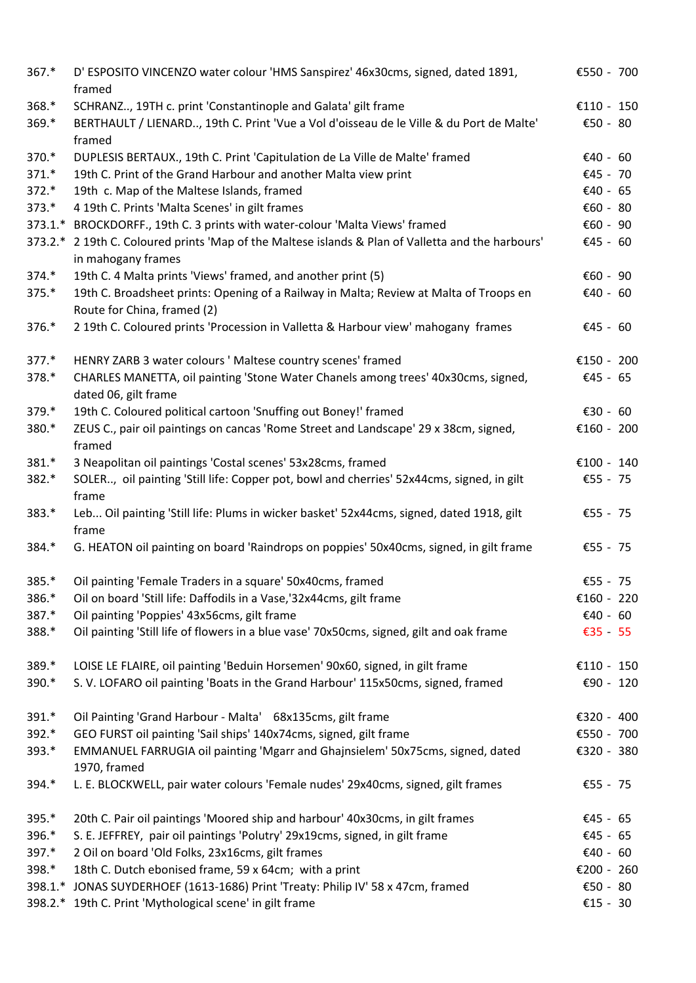| $367.*$ | D' ESPOSITO VINCENZO water colour 'HMS Sanspirez' 46x30cms, signed, dated 1891,<br>framed                                | €550 - 700  |
|---------|--------------------------------------------------------------------------------------------------------------------------|-------------|
| 368.*   | SCHRANZ, 19TH c. print 'Constantinople and Galata' gilt frame                                                            | €110 - 150  |
| 369.*   | BERTHAULT / LIENARD, 19th C. Print 'Vue a Vol d'oisseau de le Ville & du Port de Malte'<br>framed                        | €50 - 80    |
| 370.*   | DUPLESIS BERTAUX., 19th C. Print 'Capitulation de La Ville de Malte' framed                                              | €40 - 60    |
| $371.*$ | 19th C. Print of the Grand Harbour and another Malta view print                                                          | €45 - 70    |
| 372.*   | 19th c. Map of the Maltese Islands, framed                                                                               | €40 - 65    |
| 373.*   | 4 19th C. Prints 'Malta Scenes' in gilt frames                                                                           | €60 - 80    |
|         | 373.1.* BROCKDORFF., 19th C. 3 prints with water-colour 'Malta Views' framed                                             | € $60 - 90$ |
|         | 373.2.* 2 19th C. Coloured prints 'Map of the Maltese islands & Plan of Valletta and the harbours'<br>in mahogany frames | €45 - 60    |
| $374.*$ | 19th C. 4 Malta prints 'Views' framed, and another print (5)                                                             | €60 - 90    |
| $375.*$ | 19th C. Broadsheet prints: Opening of a Railway in Malta; Review at Malta of Troops en<br>Route for China, framed (2)    | €40 - 60    |
| 376.*   | 2 19th C. Coloured prints 'Procession in Valletta & Harbour view' mahogany frames                                        | €45 - 60    |
| 377.*   | HENRY ZARB 3 water colours ' Maltese country scenes' framed                                                              | €150 - 200  |
| 378.*   | CHARLES MANETTA, oil painting 'Stone Water Chanels among trees' 40x30cms, signed,                                        | €45 - 65    |
|         | dated 06, gilt frame                                                                                                     |             |
| 379.*   | 19th C. Coloured political cartoon 'Snuffing out Boney!' framed                                                          | €30 - 60    |
| 380.*   | ZEUS C., pair oil paintings on cancas 'Rome Street and Landscape' 29 x 38cm, signed,<br>framed                           | €160 - 200  |
| 381.*   | 3 Neapolitan oil paintings 'Costal scenes' 53x28cms, framed                                                              | €100 - 140  |
| 382.*   | SOLER, oil painting 'Still life: Copper pot, bowl and cherries' 52x44cms, signed, in gilt<br>frame                       | €55 - 75    |
| 383.*   | Leb Oil painting 'Still life: Plums in wicker basket' 52x44cms, signed, dated 1918, gilt<br>frame                        | €55 - 75    |
| 384.*   | G. HEATON oil painting on board 'Raindrops on poppies' 50x40cms, signed, in gilt frame                                   | €55 - 75    |
| 385.*   | Oil painting 'Female Traders in a square' 50x40cms, framed                                                               | €55 - 75    |
| 386.*   | Oil on board 'Still life: Daffodils in a Vase,'32x44cms, gilt frame                                                      | €160 - 220  |
| 387.*   | Oil painting 'Poppies' 43x56cms, gilt frame                                                                              | €40 - 60    |
| 388.*   | Oil painting 'Still life of flowers in a blue vase' 70x50cms, signed, gilt and oak frame                                 | €35 - 55    |
| 389.*   | LOISE LE FLAIRE, oil painting 'Beduin Horsemen' 90x60, signed, in gilt frame                                             | €110 - 150  |
| 390.*   | S. V. LOFARO oil painting 'Boats in the Grand Harbour' 115x50cms, signed, framed                                         | €90 - 120   |
| 391.*   | Oil Painting 'Grand Harbour - Malta' 68x135cms, gilt frame                                                               | €320 - 400  |
| 392.*   | GEO FURST oil painting 'Sail ships' 140x74cms, signed, gilt frame                                                        | €550 - 700  |
| 393.*   | EMMANUEL FARRUGIA oil painting 'Mgarr and Ghajnsielem' 50x75cms, signed, dated<br>1970, framed                           | €320 - 380  |
| 394.*   | L. E. BLOCKWELL, pair water colours 'Female nudes' 29x40cms, signed, gilt frames                                         | €55 - 75    |
| 395.*   | 20th C. Pair oil paintings 'Moored ship and harbour' 40x30cms, in gilt frames                                            | €45 - 65    |
| 396.*   | S. E. JEFFREY, pair oil paintings 'Polutry' 29x19cms, signed, in gilt frame                                              | €45 - 65    |
| 397.*   | 2 Oil on board 'Old Folks, 23x16cms, gilt frames                                                                         | €40 - 60    |
| 398.*   | 18th C. Dutch ebonised frame, 59 x 64cm; with a print                                                                    | €200 - 260  |
| 398.1.* | JONAS SUYDERHOEF (1613-1686) Print 'Treaty: Philip IV' 58 x 47cm, framed                                                 | €50 - 80    |
|         | 398.2.* 19th C. Print 'Mythological scene' in gilt frame                                                                 | €15 - 30    |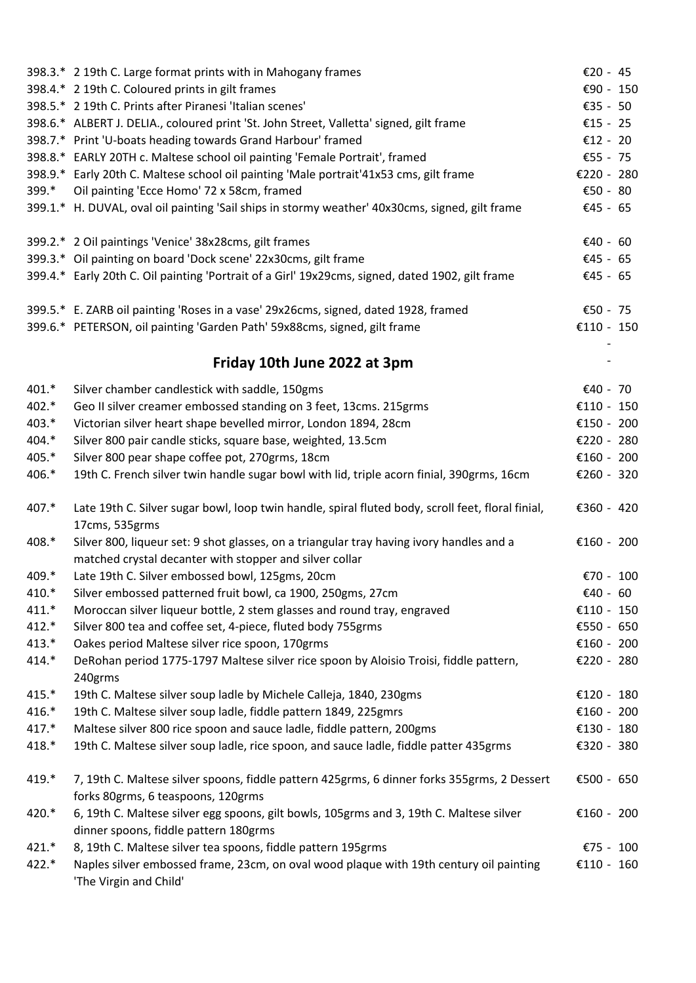|         | 398.3.* 2 19th C. Large format prints with in Mahogany frames                                                                                       | €20 - 45   |
|---------|-----------------------------------------------------------------------------------------------------------------------------------------------------|------------|
|         | 398.4.* 2 19th C. Coloured prints in gilt frames                                                                                                    | €90 - 150  |
|         | 398.5.* 2 19th C. Prints after Piranesi 'Italian scenes'                                                                                            | €35 - 50   |
|         | 398.6.* ALBERT J. DELIA., coloured print 'St. John Street, Valletta' signed, gilt frame                                                             | €15 - 25   |
|         | 398.7.* Print 'U-boats heading towards Grand Harbour' framed                                                                                        | €12 - 20   |
|         | 398.8.* EARLY 20TH c. Maltese school oil painting 'Female Portrait', framed                                                                         | €55 - 75   |
|         | 398.9.* Early 20th C. Maltese school oil painting 'Male portrait'41x53 cms, gilt frame                                                              | €220 - 280 |
| 399.*   | Oil painting 'Ecce Homo' 72 x 58cm, framed                                                                                                          | €50 - 80   |
|         | 399.1.* H. DUVAL, oval oil painting 'Sail ships in stormy weather' 40x30cms, signed, gilt frame                                                     | €45 - 65   |
|         | 399.2.* 2 Oil paintings 'Venice' 38x28cms, gilt frames                                                                                              | €40 - 60   |
|         | 399.3.* Oil painting on board 'Dock scene' 22x30cms, gilt frame                                                                                     | €45 - 65   |
|         | 399.4.* Early 20th C. Oil painting 'Portrait of a Girl' 19x29cms, signed, dated 1902, gilt frame                                                    | €45 - 65   |
|         | 399.5.* E. ZARB oil painting 'Roses in a vase' 29x26cms, signed, dated 1928, framed                                                                 | €50 - 75   |
|         | 399.6.* PETERSON, oil painting 'Garden Path' 59x88cms, signed, gilt frame                                                                           | €110 - 150 |
|         | Friday 10th June 2022 at 3pm                                                                                                                        |            |
| 401.*   | Silver chamber candlestick with saddle, 150gms                                                                                                      | €40 - 70   |
| 402.*   | Geo II silver creamer embossed standing on 3 feet, 13cms. 215grms                                                                                   | €110 - 150 |
| 403.*   | Victorian silver heart shape bevelled mirror, London 1894, 28cm                                                                                     | €150 - 200 |
| 404.*   | Silver 800 pair candle sticks, square base, weighted, 13.5cm                                                                                        | €220 - 280 |
| 405.*   | Silver 800 pear shape coffee pot, 270grms, 18cm                                                                                                     | €160 - 200 |
| 406.*   | 19th C. French silver twin handle sugar bowl with lid, triple acorn finial, 390grms, 16cm                                                           | €260 - 320 |
| 407.*   | Late 19th C. Silver sugar bowl, loop twin handle, spiral fluted body, scroll feet, floral finial,<br>17cms, 535grms                                 | €360 - 420 |
| 408.*   | Silver 800, liqueur set: 9 shot glasses, on a triangular tray having ivory handles and a<br>matched crystal decanter with stopper and silver collar | €160 - 200 |
| 409.*   | Late 19th C. Silver embossed bowl, 125gms, 20cm                                                                                                     | €70 - 100  |
| 410.*   | Silver embossed patterned fruit bowl, ca 1900, 250gms, 27cm                                                                                         | €40 - 60   |
| $411.*$ | Moroccan silver liqueur bottle, 2 stem glasses and round tray, engraved                                                                             | €110 - 150 |
| $412.*$ | Silver 800 tea and coffee set, 4-piece, fluted body 755grms                                                                                         | €550 - 650 |
| $413.*$ | Oakes period Maltese silver rice spoon, 170grms                                                                                                     | €160 - 200 |
| 414.*   | DeRohan period 1775-1797 Maltese silver rice spoon by Aloisio Troisi, fiddle pattern,<br>240grms                                                    | €220 - 280 |
| 415.*   | 19th C. Maltese silver soup ladle by Michele Calleja, 1840, 230gms                                                                                  | €120 - 180 |
| 416.*   | 19th C. Maltese silver soup ladle, fiddle pattern 1849, 225gmrs                                                                                     | €160 - 200 |
| 417.*   | Maltese silver 800 rice spoon and sauce ladle, fiddle pattern, 200gms                                                                               | €130 - 180 |
| 418.*   | 19th C. Maltese silver soup ladle, rice spoon, and sauce ladle, fiddle patter 435grms                                                               | €320 - 380 |
| 419.*   | 7, 19th C. Maltese silver spoons, fiddle pattern 425grms, 6 dinner forks 355grms, 2 Dessert<br>forks 80grms, 6 teaspoons, 120grms                   | €500 - 650 |
| 420.*   | 6, 19th C. Maltese silver egg spoons, gilt bowls, 105grms and 3, 19th C. Maltese silver<br>dinner spoons, fiddle pattern 180grms                    | €160 - 200 |
| $421.*$ | 8, 19th C. Maltese silver tea spoons, fiddle pattern 195grms                                                                                        | €75 - 100  |
| 422.*   | Naples silver embossed frame, 23cm, on oval wood plaque with 19th century oil painting                                                              | €110 - 160 |
|         | 'The Virgin and Child'                                                                                                                              |            |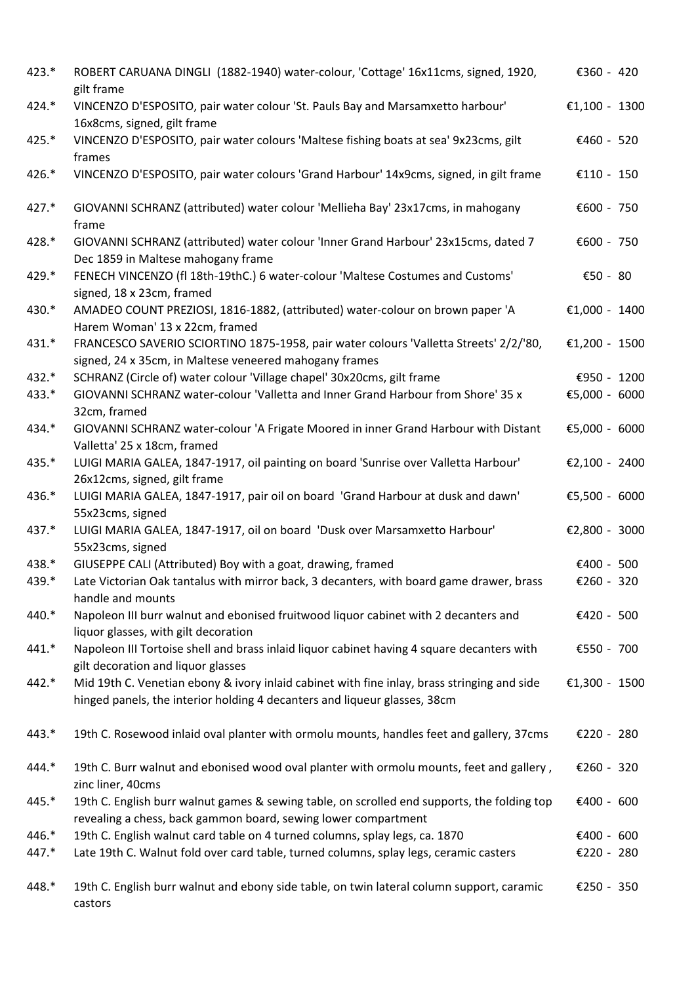| 423.*   | ROBERT CARUANA DINGLI (1882-1940) water-colour, 'Cottage' 16x11cms, signed, 1920,<br>gilt frame                                                                          | €360 - 420    |
|---------|--------------------------------------------------------------------------------------------------------------------------------------------------------------------------|---------------|
| 424.*   | VINCENZO D'ESPOSITO, pair water colour 'St. Pauls Bay and Marsamxetto harbour'<br>16x8cms, signed, gilt frame                                                            | €1,100 - 1300 |
| 425.*   | VINCENZO D'ESPOSITO, pair water colours 'Maltese fishing boats at sea' 9x23cms, gilt<br>frames                                                                           | €460 - 520    |
| 426.*   | VINCENZO D'ESPOSITO, pair water colours 'Grand Harbour' 14x9cms, signed, in gilt frame                                                                                   | €110 - 150    |
| 427.*   | GIOVANNI SCHRANZ (attributed) water colour 'Mellieha Bay' 23x17cms, in mahogany<br>frame                                                                                 | €600 - 750    |
| 428.*   | GIOVANNI SCHRANZ (attributed) water colour 'Inner Grand Harbour' 23x15cms, dated 7<br>Dec 1859 in Maltese mahogany frame                                                 | €600 - 750    |
| 429.*   | FENECH VINCENZO (fl 18th-19thC.) 6 water-colour 'Maltese Costumes and Customs'<br>signed, 18 x 23cm, framed                                                              | €50 - 80      |
| 430.*   | AMADEO COUNT PREZIOSI, 1816-1882, (attributed) water-colour on brown paper 'A<br>Harem Woman' 13 x 22cm, framed                                                          | €1,000 - 1400 |
| 431.*   | FRANCESCO SAVERIO SCIORTINO 1875-1958, pair water colours 'Valletta Streets' 2/2/'80,<br>signed, 24 x 35cm, in Maltese veneered mahogany frames                          | €1,200 - 1500 |
| 432.*   | SCHRANZ (Circle of) water colour 'Village chapel' 30x20cms, gilt frame                                                                                                   | €950 - 1200   |
| 433.*   | GIOVANNI SCHRANZ water-colour 'Valletta and Inner Grand Harbour from Shore' 35 x<br>32cm, framed                                                                         | €5,000 - 6000 |
| 434.*   | GIOVANNI SCHRANZ water-colour 'A Frigate Moored in inner Grand Harbour with Distant<br>Valletta' 25 x 18cm, framed                                                       | €5,000 - 6000 |
| 435.*   | LUIGI MARIA GALEA, 1847-1917, oil painting on board 'Sunrise over Valletta Harbour'<br>26x12cms, signed, gilt frame                                                      | €2,100 - 2400 |
| 436.*   | LUIGI MARIA GALEA, 1847-1917, pair oil on board 'Grand Harbour at dusk and dawn'<br>55x23cms, signed                                                                     | €5,500 - 6000 |
| 437.*   | LUIGI MARIA GALEA, 1847-1917, oil on board 'Dusk over Marsamxetto Harbour'<br>55x23cms, signed                                                                           | €2,800 - 3000 |
| 438.*   | GIUSEPPE CALI (Attributed) Boy with a goat, drawing, framed                                                                                                              | €400 - 500    |
| 439.*   | Late Victorian Oak tantalus with mirror back, 3 decanters, with board game drawer, brass<br>handle and mounts                                                            | €260 - 320    |
| 440.*   | Napoleon III burr walnut and ebonised fruitwood liquor cabinet with 2 decanters and<br>liquor glasses, with gilt decoration                                              | €420 - 500    |
| $441.*$ | Napoleon III Tortoise shell and brass inlaid liquor cabinet having 4 square decanters with<br>gilt decoration and liquor glasses                                         | €550 - 700    |
| 442.*   | Mid 19th C. Venetian ebony & ivory inlaid cabinet with fine inlay, brass stringing and side<br>hinged panels, the interior holding 4 decanters and liqueur glasses, 38cm | €1,300 - 1500 |
| 443.*   | 19th C. Rosewood inlaid oval planter with ormolu mounts, handles feet and gallery, 37cms                                                                                 | €220 - 280    |
| 444.*   | 19th C. Burr walnut and ebonised wood oval planter with ormolu mounts, feet and gallery,<br>zinc liner, 40cms                                                            | €260 - 320    |
| 445.*   | 19th C. English burr walnut games & sewing table, on scrolled end supports, the folding top<br>revealing a chess, back gammon board, sewing lower compartment            | €400 - 600    |
| 446.*   | 19th C. English walnut card table on 4 turned columns, splay legs, ca. 1870                                                                                              | €400 - 600    |
| 447.*   | Late 19th C. Walnut fold over card table, turned columns, splay legs, ceramic casters                                                                                    | €220 - 280    |
| 448.*   | 19th C. English burr walnut and ebony side table, on twin lateral column support, caramic<br>castors                                                                     | €250 - 350    |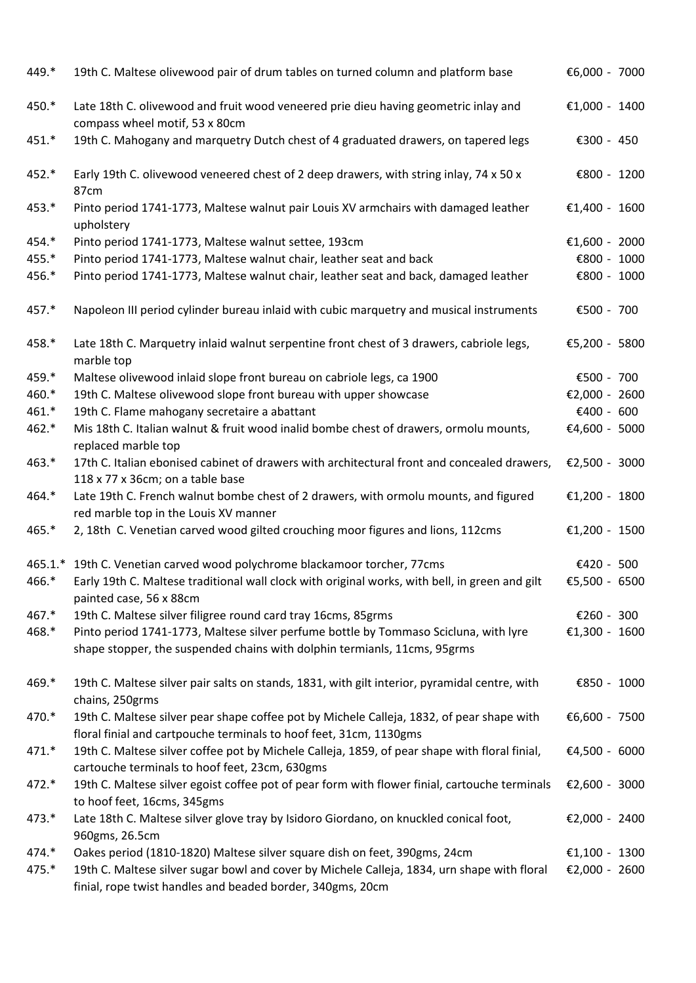| 449.* | 19th C. Maltese olivewood pair of drum tables on turned column and platform base                                                                                | €6,000 - 7000 |  |
|-------|-----------------------------------------------------------------------------------------------------------------------------------------------------------------|---------------|--|
| 450.* | Late 18th C. olivewood and fruit wood veneered prie dieu having geometric inlay and<br>compass wheel motif, 53 x 80cm                                           | €1,000 - 1400 |  |
| 451.* | 19th C. Mahogany and marquetry Dutch chest of 4 graduated drawers, on tapered legs                                                                              | €300 - 450    |  |
| 452.* | Early 19th C. olivewood veneered chest of 2 deep drawers, with string inlay, 74 x 50 x<br>87cm                                                                  | €800 - 1200   |  |
| 453.* | Pinto period 1741-1773, Maltese walnut pair Louis XV armchairs with damaged leather<br>upholstery                                                               | €1,400 - 1600 |  |
| 454.* | Pinto period 1741-1773, Maltese walnut settee, 193cm                                                                                                            | €1,600 - 2000 |  |
| 455.* | Pinto period 1741-1773, Maltese walnut chair, leather seat and back                                                                                             | €800 - 1000   |  |
| 456.* | Pinto period 1741-1773, Maltese walnut chair, leather seat and back, damaged leather                                                                            | €800 - 1000   |  |
| 457.* | Napoleon III period cylinder bureau inlaid with cubic marquetry and musical instruments                                                                         | €500 - 700    |  |
| 458.* | Late 18th C. Marquetry inlaid walnut serpentine front chest of 3 drawers, cabriole legs,<br>marble top                                                          | €5,200 - 5800 |  |
| 459.* | Maltese olivewood inlaid slope front bureau on cabriole legs, ca 1900                                                                                           | €500 - 700    |  |
| 460.* | 19th C. Maltese olivewood slope front bureau with upper showcase                                                                                                | €2,000 - 2600 |  |
| 461.* | 19th C. Flame mahogany secretaire a abattant                                                                                                                    | €400 - 600    |  |
| 462.* | Mis 18th C. Italian walnut & fruit wood inalid bombe chest of drawers, ormolu mounts,<br>replaced marble top                                                    | €4,600 - 5000 |  |
| 463.* | 17th C. Italian ebonised cabinet of drawers with architectural front and concealed drawers,<br>118 x 77 x 36cm; on a table base                                 | €2,500 - 3000 |  |
| 464.* | Late 19th C. French walnut bombe chest of 2 drawers, with ormolu mounts, and figured<br>red marble top in the Louis XV manner                                   | €1,200 - 1800 |  |
| 465.* | 2, 18th C. Venetian carved wood gilted crouching moor figures and lions, 112cms                                                                                 | €1,200 - 1500 |  |
|       | 465.1.* 19th C. Venetian carved wood polychrome blackamoor torcher, 77cms                                                                                       | €420 - 500    |  |
| 466.* | Early 19th C. Maltese traditional wall clock with original works, with bell, in green and gilt                                                                  | €5,500 - 6500 |  |
|       | painted case, 56 x 88cm                                                                                                                                         |               |  |
| 467.* | 19th C. Maltese silver filigree round card tray 16cms, 85grms                                                                                                   | €260 - 300    |  |
| 468.* | Pinto period 1741-1773, Maltese silver perfume bottle by Tommaso Scicluna, with lyre                                                                            | €1,300 - 1600 |  |
|       | shape stopper, the suspended chains with dolphin termianls, 11cms, 95grms                                                                                       |               |  |
| 469.* | 19th C. Maltese silver pair salts on stands, 1831, with gilt interior, pyramidal centre, with<br>chains, 250grms                                                | €850 - 1000   |  |
| 470.* | 19th C. Maltese silver pear shape coffee pot by Michele Calleja, 1832, of pear shape with<br>floral finial and cartpouche terminals to hoof feet, 31cm, 1130gms | €6,600 - 7500 |  |
| 471.* | 19th C. Maltese silver coffee pot by Michele Calleja, 1859, of pear shape with floral finial,<br>cartouche terminals to hoof feet, 23cm, 630gms                 | €4,500 - 6000 |  |
| 472.* | 19th C. Maltese silver egoist coffee pot of pear form with flower finial, cartouche terminals<br>to hoof feet, 16cms, 345gms                                    | €2,600 - 3000 |  |
| 473.* | Late 18th C. Maltese silver glove tray by Isidoro Giordano, on knuckled conical foot,<br>960gms, 26.5cm                                                         | €2,000 - 2400 |  |
| 474.* | Oakes period (1810-1820) Maltese silver square dish on feet, 390gms, 24cm                                                                                       | €1,100 - 1300 |  |
| 475.* | 19th C. Maltese silver sugar bowl and cover by Michele Calleja, 1834, urn shape with floral<br>finial, rope twist handles and beaded border, 340gms, 20cm       | €2,000 - 2600 |  |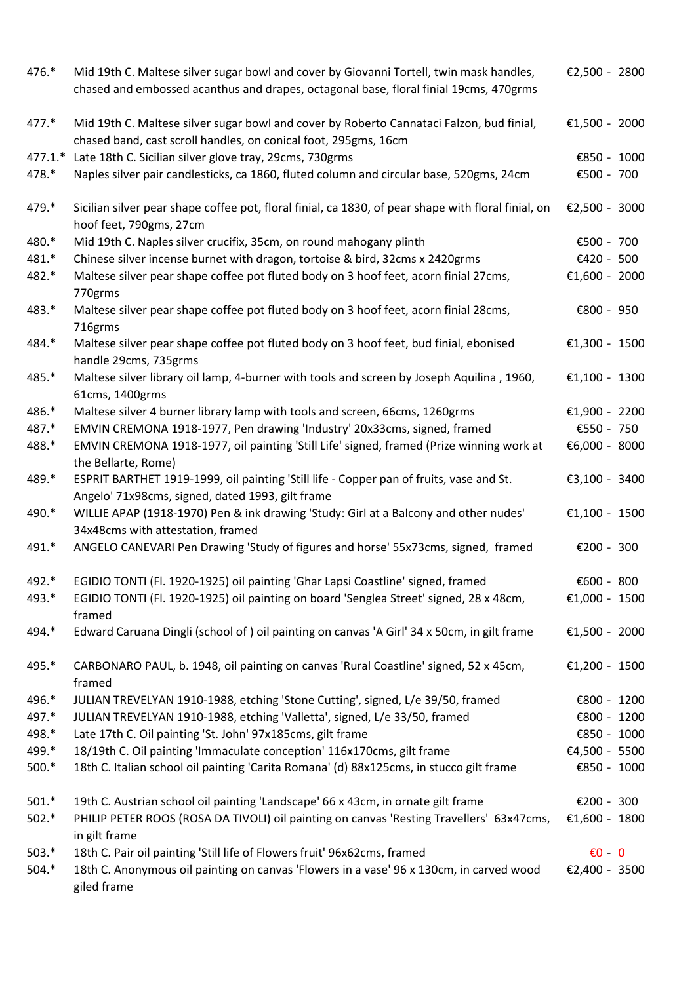| 476.*   | Mid 19th C. Maltese silver sugar bowl and cover by Giovanni Tortell, twin mask handles,<br>chased and embossed acanthus and drapes, octagonal base, floral finial 19cms, 470grms | €2,500 - 2800    |  |
|---------|----------------------------------------------------------------------------------------------------------------------------------------------------------------------------------|------------------|--|
| 477.*   | Mid 19th C. Maltese silver sugar bowl and cover by Roberto Cannataci Falzon, bud finial,<br>chased band, cast scroll handles, on conical foot, 295gms, 16cm                      | €1,500 - 2000    |  |
| 477.1.* | Late 18th C. Sicilian silver glove tray, 29cms, 730grms                                                                                                                          | €850 - 1000      |  |
| 478.*   | Naples silver pair candlesticks, ca 1860, fluted column and circular base, 520gms, 24cm                                                                                          | €500 - 700       |  |
| 479.*   | Sicilian silver pear shape coffee pot, floral finial, ca 1830, of pear shape with floral finial, on<br>hoof feet, 790gms, 27cm                                                   | €2,500 - 3000    |  |
| 480.*   | Mid 19th C. Naples silver crucifix, 35cm, on round mahogany plinth                                                                                                               | €500 - 700       |  |
| 481.*   | Chinese silver incense burnet with dragon, tortoise & bird, 32cms x 2420grms                                                                                                     | €420 - 500       |  |
| 482.*   | Maltese silver pear shape coffee pot fluted body on 3 hoof feet, acorn finial 27cms,<br>770grms                                                                                  | €1,600 - 2000    |  |
| 483.*   | Maltese silver pear shape coffee pot fluted body on 3 hoof feet, acorn finial 28cms,<br>716grms                                                                                  | €800 - 950       |  |
| 484.*   | Maltese silver pear shape coffee pot fluted body on 3 hoof feet, bud finial, ebonised<br>handle 29cms, 735grms                                                                   | €1,300 - 1500    |  |
| 485.*   | Maltese silver library oil lamp, 4-burner with tools and screen by Joseph Aquilina, 1960,<br>61cms, 1400grms                                                                     | €1,100 - 1300    |  |
| 486.*   | Maltese silver 4 burner library lamp with tools and screen, 66cms, 1260grms                                                                                                      | €1,900 - 2200    |  |
| 487.*   | EMVIN CREMONA 1918-1977, Pen drawing 'Industry' 20x33cms, signed, framed                                                                                                         | €550 - 750       |  |
| 488.*   | EMVIN CREMONA 1918-1977, oil painting 'Still Life' signed, framed (Prize winning work at<br>the Bellarte, Rome)                                                                  | €6,000 - 8000    |  |
| 489.*   | ESPRIT BARTHET 1919-1999, oil painting 'Still life - Copper pan of fruits, vase and St.<br>Angelo' 71x98cms, signed, dated 1993, gilt frame                                      | €3,100 - 3400    |  |
| 490.*   | WILLIE APAP (1918-1970) Pen & ink drawing 'Study: Girl at a Balcony and other nudes'<br>34x48cms with attestation, framed                                                        | €1,100 - 1500    |  |
| 491.*   | ANGELO CANEVARI Pen Drawing 'Study of figures and horse' 55x73cms, signed, framed                                                                                                | €200 - 300       |  |
| 492.*   | EGIDIO TONTI (Fl. 1920-1925) oil painting 'Ghar Lapsi Coastline' signed, framed                                                                                                  | €600 - 800       |  |
| 493.*   | EGIDIO TONTI (Fl. 1920-1925) oil painting on board 'Senglea Street' signed, 28 x 48cm,<br>framed                                                                                 | €1,000 - 1500    |  |
| 494.*   | Edward Caruana Dingli (school of) oil painting on canvas 'A Girl' 34 x 50cm, in gilt frame                                                                                       | €1,500 - 2000    |  |
| 495.*   | CARBONARO PAUL, b. 1948, oil painting on canvas 'Rural Coastline' signed, 52 x 45cm,<br>framed                                                                                   | €1,200 - 1500    |  |
| 496.*   | JULIAN TREVELYAN 1910-1988, etching 'Stone Cutting', signed, L/e 39/50, framed                                                                                                   | €800 - 1200      |  |
| 497.*   | JULIAN TREVELYAN 1910-1988, etching 'Valletta', signed, L/e 33/50, framed                                                                                                        | €800 - 1200      |  |
| 498.*   | Late 17th C. Oil painting 'St. John' 97x185cms, gilt frame                                                                                                                       | €850 - 1000      |  |
| 499.*   | 18/19th C. Oil painting 'Immaculate conception' 116x170cms, gilt frame                                                                                                           | €4,500 - 5500    |  |
| $500.*$ | 18th C. Italian school oil painting 'Carita Romana' (d) 88x125cms, in stucco gilt frame                                                                                          | €850 - 1000      |  |
| $501.*$ | 19th C. Austrian school oil painting 'Landscape' 66 x 43cm, in ornate gilt frame                                                                                                 | €200 - 300       |  |
| $502.*$ | PHILIP PETER ROOS (ROSA DA TIVOLI) oil painting on canvas 'Resting Travellers' 63x47cms,<br>in gilt frame                                                                        | €1,600 - 1800    |  |
| $503.*$ | 18th C. Pair oil painting 'Still life of Flowers fruit' 96x62cms, framed                                                                                                         | $\epsilon$ 0 - 0 |  |
| $504.*$ | 18th C. Anonymous oil painting on canvas 'Flowers in a vase' 96 x 130cm, in carved wood<br>giled frame                                                                           | €2,400 - 3500    |  |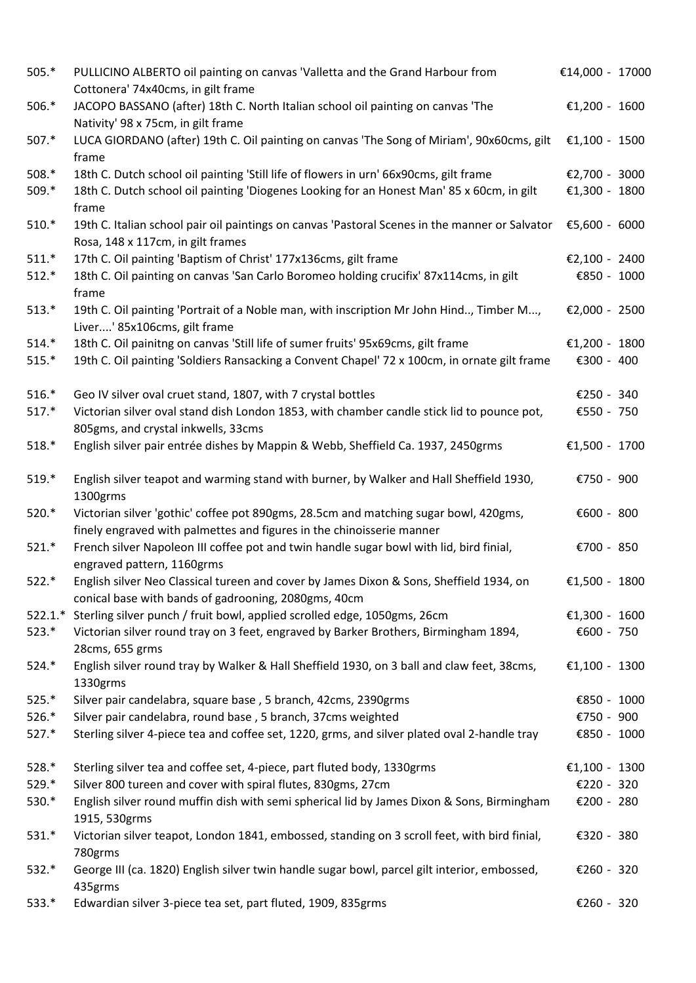| $505.*$   | PULLICINO ALBERTO oil painting on canvas 'Valletta and the Grand Harbour from<br>Cottonera' 74x40cms, in gilt frame                                           | €14,000 - 17000 |  |
|-----------|---------------------------------------------------------------------------------------------------------------------------------------------------------------|-----------------|--|
| $506.*$   | JACOPO BASSANO (after) 18th C. North Italian school oil painting on canvas 'The<br>Nativity' 98 x 75cm, in gilt frame                                         | €1,200 - 1600   |  |
| 507.*     | LUCA GIORDANO (after) 19th C. Oil painting on canvas 'The Song of Miriam', 90x60cms, gilt<br>frame                                                            | €1,100 - 1500   |  |
| $508.*$   | 18th C. Dutch school oil painting 'Still life of flowers in urn' 66x90cms, gilt frame                                                                         | €2,700 - 3000   |  |
| 509.*     | 18th C. Dutch school oil painting 'Diogenes Looking for an Honest Man' 85 x 60cm, in gilt<br>frame                                                            | €1,300 - 1800   |  |
| $510.*$   | 19th C. Italian school pair oil paintings on canvas 'Pastoral Scenes in the manner or Salvator<br>Rosa, 148 x 117cm, in gilt frames                           | €5,600 - 6000   |  |
| $511.*$   | 17th C. Oil painting 'Baptism of Christ' 177x136cms, gilt frame                                                                                               | €2,100 - 2400   |  |
| $512.*$   | 18th C. Oil painting on canvas 'San Carlo Boromeo holding crucifix' 87x114cms, in gilt<br>frame                                                               | €850 - 1000     |  |
| $513.*$   | 19th C. Oil painting 'Portrait of a Noble man, with inscription Mr John Hind, Timber M,<br>Liver' 85x106cms, gilt frame                                       | €2,000 - 2500   |  |
| $514.*$   | 18th C. Oil painitng on canvas 'Still life of sumer fruits' 95x69cms, gilt frame                                                                              | €1,200 - 1800   |  |
| $515.*$   | 19th C. Oil painting 'Soldiers Ransacking a Convent Chapel' 72 x 100cm, in ornate gilt frame                                                                  | €300 - 400      |  |
| $516.*$   | Geo IV silver oval cruet stand, 1807, with 7 crystal bottles                                                                                                  | €250 - 340      |  |
| $517.*$   | Victorian silver oval stand dish London 1853, with chamber candle stick lid to pounce pot,<br>805gms, and crystal inkwells, 33cms                             | €550 - 750      |  |
| $518.*$   | English silver pair entrée dishes by Mappin & Webb, Sheffield Ca. 1937, 2450grms                                                                              | €1,500 - 1700   |  |
| $519.*$   | English silver teapot and warming stand with burner, by Walker and Hall Sheffield 1930,<br>1300grms                                                           | €750 - 900      |  |
| $520.*$   | Victorian silver 'gothic' coffee pot 890gms, 28.5cm and matching sugar bowl, 420gms,<br>finely engraved with palmettes and figures in the chinoisserie manner | €600 - 800      |  |
| $521.*$   | French silver Napoleon III coffee pot and twin handle sugar bowl with lid, bird finial,<br>engraved pattern, 1160grms                                         | €700 - 850      |  |
| $522.*$   | English silver Neo Classical tureen and cover by James Dixon & Sons, Sheffield 1934, on<br>conical base with bands of gadrooning, 2080gms, 40cm               | €1,500 - 1800   |  |
| $522.1.*$ | Sterling silver punch / fruit bowl, applied scrolled edge, 1050gms, 26cm                                                                                      | €1,300 - 1600   |  |
| $523.*$   | Victorian silver round tray on 3 feet, engraved by Barker Brothers, Birmingham 1894,<br>28cms, 655 grms                                                       | €600 - 750      |  |
| 524.*     | English silver round tray by Walker & Hall Sheffield 1930, on 3 ball and claw feet, 38cms,<br>1330grms                                                        | €1,100 - 1300   |  |
| $525.*$   | Silver pair candelabra, square base, 5 branch, 42cms, 2390grms                                                                                                | €850 - 1000     |  |
| 526.*     | Silver pair candelabra, round base, 5 branch, 37cms weighted                                                                                                  | €750 - 900      |  |
| $527.*$   | Sterling silver 4-piece tea and coffee set, 1220, grms, and silver plated oval 2-handle tray                                                                  | €850 - 1000     |  |
| 528.*     | Sterling silver tea and coffee set, 4-piece, part fluted body, 1330grms                                                                                       | €1,100 - 1300   |  |
| 529.*     | Silver 800 tureen and cover with spiral flutes, 830gms, 27cm                                                                                                  | €220 - 320      |  |
| 530.*     | English silver round muffin dish with semi spherical lid by James Dixon & Sons, Birmingham<br>1915, 530grms                                                   | €200 - 280      |  |
| $531.*$   | Victorian silver teapot, London 1841, embossed, standing on 3 scroll feet, with bird finial,<br>780grms                                                       | €320 - 380      |  |
| $532.*$   | George III (ca. 1820) English silver twin handle sugar bowl, parcel gilt interior, embossed,<br>435grms                                                       | €260 - 320      |  |
| $533.*$   | Edwardian silver 3-piece tea set, part fluted, 1909, 835grms                                                                                                  | €260 - 320      |  |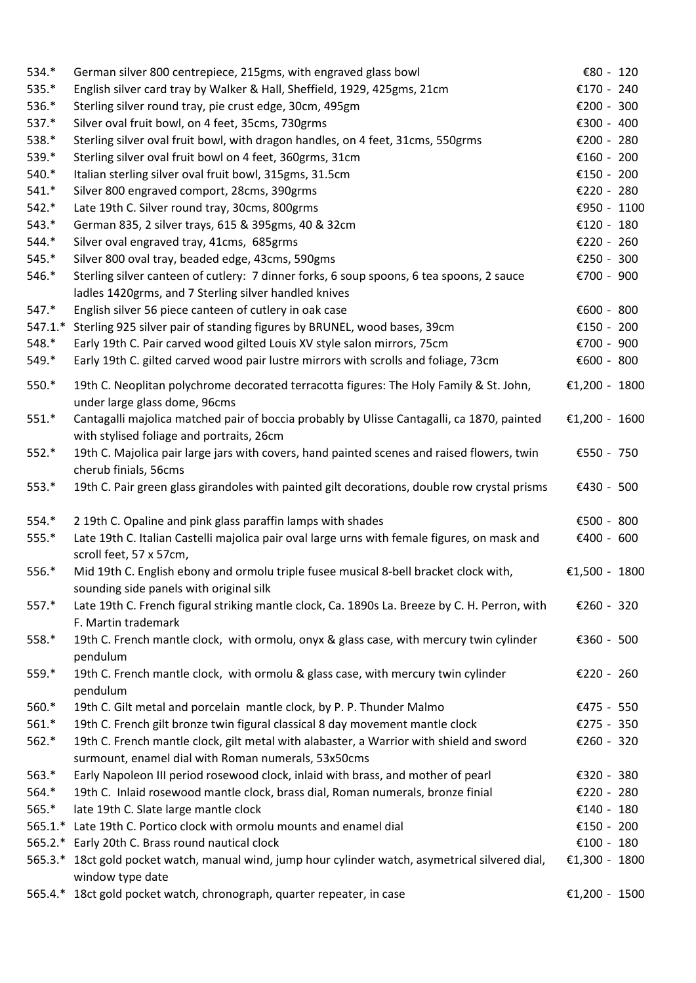| 534.*            | German silver 800 centrepiece, 215gms, with engraved glass bowl                                                                                   | € $80 - 120$             |
|------------------|---------------------------------------------------------------------------------------------------------------------------------------------------|--------------------------|
| 535.*            | English silver card tray by Walker & Hall, Sheffield, 1929, 425gms, 21cm                                                                          | €170 - 240               |
| 536.*            | Sterling silver round tray, pie crust edge, 30cm, 495gm                                                                                           | €200 - 300               |
| 537.*            | Silver oval fruit bowl, on 4 feet, 35cms, 730grms                                                                                                 | €300 - 400               |
| 538.*            | Sterling silver oval fruit bowl, with dragon handles, on 4 feet, 31cms, 550grms                                                                   | €200 - 280               |
| 539.*            | Sterling silver oval fruit bowl on 4 feet, 360grms, 31cm                                                                                          | €160 - 200               |
| 540.*            | Italian sterling silver oval fruit bowl, 315gms, 31.5cm                                                                                           | €150 - 200               |
| $541.*$          | Silver 800 engraved comport, 28cms, 390grms                                                                                                       | €220 - 280               |
| $542.*$          | Late 19th C. Silver round tray, 30cms, 800grms                                                                                                    | €950 - 1100              |
| $543.*$          | German 835, 2 silver trays, 615 & 395gms, 40 & 32cm                                                                                               | €120 - 180               |
| 544.*            | Silver oval engraved tray, 41cms, 685grms                                                                                                         | €220 - 260               |
| $545.*$          | Silver 800 oval tray, beaded edge, 43cms, 590gms                                                                                                  | €250 - 300               |
| 546.*            | Sterling silver canteen of cutlery: 7 dinner forks, 6 soup spoons, 6 tea spoons, 2 sauce<br>ladles 1420grms, and 7 Sterling silver handled knives | €700 - 900               |
| $547.*$          | English silver 56 piece canteen of cutlery in oak case                                                                                            | €600 - 800               |
| $547.1.*$        | Sterling 925 silver pair of standing figures by BRUNEL, wood bases, 39cm                                                                          | €150 - 200               |
| 548.*            | Early 19th C. Pair carved wood gilted Louis XV style salon mirrors, 75cm                                                                          | €700 - 900               |
| 549.*            | Early 19th C. gilted carved wood pair lustre mirrors with scrolls and foliage, 73cm                                                               | €600 - 800               |
| 550.*            | 19th C. Neoplitan polychrome decorated terracotta figures: The Holy Family & St. John,<br>under large glass dome, 96cms                           | €1,200 - 1800            |
| $551.*$          | Cantagalli majolica matched pair of boccia probably by Ulisse Cantagalli, ca 1870, painted<br>with stylised foliage and portraits, 26cm           | €1,200 - 1600            |
| $552.*$          | 19th C. Majolica pair large jars with covers, hand painted scenes and raised flowers, twin<br>cherub finials, 56cms                               | €550 - 750               |
| 553.*            | 19th C. Pair green glass girandoles with painted gilt decorations, double row crystal prisms                                                      | €430 - 500               |
| 554.*            | 2 19th C. Opaline and pink glass paraffin lamps with shades                                                                                       | €500 - 800               |
| $555.*$          | Late 19th C. Italian Castelli majolica pair oval large urns with female figures, on mask and                                                      | €400 - 600               |
|                  | scroll feet, 57 x 57cm,                                                                                                                           |                          |
| 556.*            | Mid 19th C. English ebony and ormolu triple fusee musical 8-bell bracket clock with,                                                              | €1,500 - 1800            |
|                  | sounding side panels with original silk                                                                                                           |                          |
| 557.*            | Late 19th C. French figural striking mantle clock, Ca. 1890s La. Breeze by C. H. Perron, with                                                     | €260 - 320               |
|                  | F. Martin trademark                                                                                                                               |                          |
| 558.*            | 19th C. French mantle clock, with ormolu, onyx & glass case, with mercury twin cylinder                                                           | €360 - 500               |
|                  | pendulum                                                                                                                                          |                          |
| 559.*            | 19th C. French mantle clock, with ormolu & glass case, with mercury twin cylinder                                                                 | €220 - 260               |
|                  | pendulum                                                                                                                                          |                          |
| 560.*            | 19th C. Gilt metal and porcelain mantle clock, by P. P. Thunder Malmo                                                                             | €475 - 550               |
| $561.*$          | 19th C. French gilt bronze twin figural classical 8 day movement mantle clock                                                                     | €275 - 350               |
| $562.*$          | 19th C. French mantle clock, gilt metal with alabaster, a Warrior with shield and sword                                                           | €260 - 320               |
|                  | surmount, enamel dial with Roman numerals, 53x50cms                                                                                               |                          |
| $563.*$<br>564.* | Early Napoleon III period rosewood clock, inlaid with brass, and mother of pearl                                                                  | €320 - 380               |
| 565.*            | 19th C. Inlaid rosewood mantle clock, brass dial, Roman numerals, bronze finial                                                                   | €220 - 280               |
| $565.1.*$        | late 19th C. Slate large mantle clock<br>Late 19th C. Portico clock with ormolu mounts and enamel dial                                            | €140 - 180<br>€150 - 200 |
| $565.2.*$        | Early 20th C. Brass round nautical clock                                                                                                          | €100 - 180               |
|                  | 565.3.* 18ct gold pocket watch, manual wind, jump hour cylinder watch, asymetrical silvered dial,                                                 | €1,300 - 1800            |
|                  | window type date                                                                                                                                  |                          |
|                  | 565.4.* 18ct gold pocket watch, chronograph, quarter repeater, in case                                                                            | €1,200 - 1500            |
|                  |                                                                                                                                                   |                          |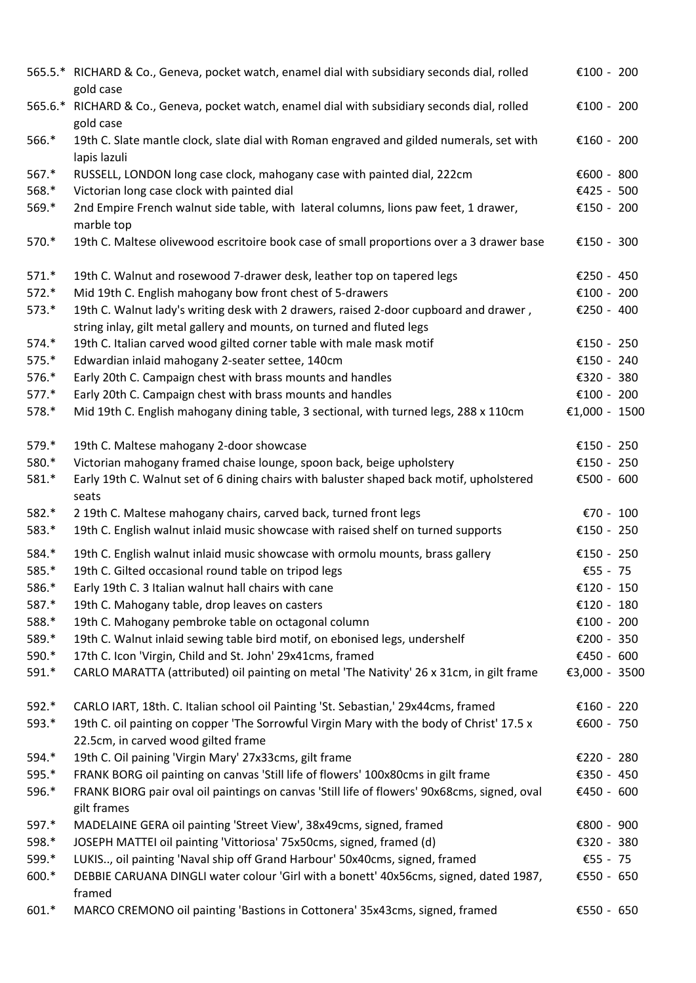|         | 565.5.* RICHARD & Co., Geneva, pocket watch, enamel dial with subsidiary seconds dial, rolled<br>gold case  | €100 - 200    |
|---------|-------------------------------------------------------------------------------------------------------------|---------------|
| 565.6.* | RICHARD & Co., Geneva, pocket watch, enamel dial with subsidiary seconds dial, rolled<br>gold case          | €100 - 200    |
| 566.*   | 19th C. Slate mantle clock, slate dial with Roman engraved and gilded numerals, set with<br>lapis lazuli    | €160 - 200    |
| $567.*$ | RUSSELL, LONDON long case clock, mahogany case with painted dial, 222cm                                     | €600 - 800    |
| 568.*   | Victorian long case clock with painted dial                                                                 | €425 - 500    |
| 569.*   | 2nd Empire French walnut side table, with lateral columns, lions paw feet, 1 drawer,<br>marble top          | €150 - 200    |
| 570.*   | 19th C. Maltese olivewood escritoire book case of small proportions over a 3 drawer base                    | €150 - 300    |
| $571.*$ | 19th C. Walnut and rosewood 7-drawer desk, leather top on tapered legs                                      | €250 - 450    |
| $572.*$ | Mid 19th C. English mahogany bow front chest of 5-drawers                                                   | €100 - 200    |
| $573.*$ | 19th C. Walnut lady's writing desk with 2 drawers, raised 2-door cupboard and drawer,                       | €250 - 400    |
|         | string inlay, gilt metal gallery and mounts, on turned and fluted legs                                      |               |
| 574.*   | 19th C. Italian carved wood gilted corner table with male mask motif                                        | €150 - 250    |
| 575.*   | Edwardian inlaid mahogany 2-seater settee, 140cm                                                            | €150 - 240    |
| 576.*   | Early 20th C. Campaign chest with brass mounts and handles                                                  | €320 - 380    |
| $577.*$ | Early 20th C. Campaign chest with brass mounts and handles                                                  | €100 - 200    |
| 578.*   | Mid 19th C. English mahogany dining table, 3 sectional, with turned legs, 288 x 110cm                       | €1,000 - 1500 |
| 579.*   | 19th C. Maltese mahogany 2-door showcase                                                                    | €150 - 250    |
| 580.*   | Victorian mahogany framed chaise lounge, spoon back, beige upholstery                                       | €150 - 250    |
| 581.*   | Early 19th C. Walnut set of 6 dining chairs with baluster shaped back motif, upholstered<br>seats           | €500 - 600    |
| 582.*   | 2 19th C. Maltese mahogany chairs, carved back, turned front legs                                           | €70 - 100     |
| 583.*   | 19th C. English walnut inlaid music showcase with raised shelf on turned supports                           | €150 - 250    |
| 584.*   | 19th C. English walnut inlaid music showcase with ormolu mounts, brass gallery                              | €150 - 250    |
| 585.*   | 19th C. Gilted occasional round table on tripod legs                                                        | €55 - 75      |
| 586.*   | Early 19th C. 3 Italian walnut hall chairs with cane                                                        | €120 - 150    |
| 587.*   | 19th C. Mahogany table, drop leaves on casters                                                              | €120 - 180    |
| 588.*   | 19th C. Mahogany pembroke table on octagonal column                                                         | €100 - 200    |
| 589.*   | 19th C. Walnut inlaid sewing table bird motif, on ebonised legs, undershelf                                 | €200 - 350    |
| 590.*   | 17th C. Icon 'Virgin, Child and St. John' 29x41cms, framed                                                  | €450 - 600    |
| 591.*   | CARLO MARATTA (attributed) oil painting on metal 'The Nativity' 26 x 31cm, in gilt frame                    | €3,000 - 3500 |
| 592.*   | CARLO IART, 18th. C. Italian school oil Painting 'St. Sebastian,' 29x44cms, framed                          | €160 - 220    |
| $593.*$ | 19th C. oil painting on copper 'The Sorrowful Virgin Mary with the body of Christ' 17.5 x                   | €600 - 750    |
|         | 22.5cm, in carved wood gilted frame                                                                         |               |
| 594.*   | 19th C. Oil paining 'Virgin Mary' 27x33cms, gilt frame                                                      | €220 - 280    |
| 595.*   | FRANK BORG oil painting on canvas 'Still life of flowers' 100x80cms in gilt frame                           | €350 - 450    |
| 596.*   | FRANK BIORG pair oval oil paintings on canvas 'Still life of flowers' 90x68cms, signed, oval<br>gilt frames | €450 - 600    |
| 597.*   | MADELAINE GERA oil painting 'Street View', 38x49cms, signed, framed                                         | €800 - 900    |
| 598.*   | JOSEPH MATTEI oil painting 'Vittoriosa' 75x50cms, signed, framed (d)                                        | €320 - 380    |
| 599.*   | LUKIS, oil painting 'Naval ship off Grand Harbour' 50x40cms, signed, framed                                 | €55 - 75      |
| 600.*   | DEBBIE CARUANA DINGLI water colour 'Girl with a bonett' 40x56cms, signed, dated 1987,<br>framed             | €550 - 650    |
| 601.*   | MARCO CREMONO oil painting 'Bastions in Cottonera' 35x43cms, signed, framed                                 | €550 - 650    |